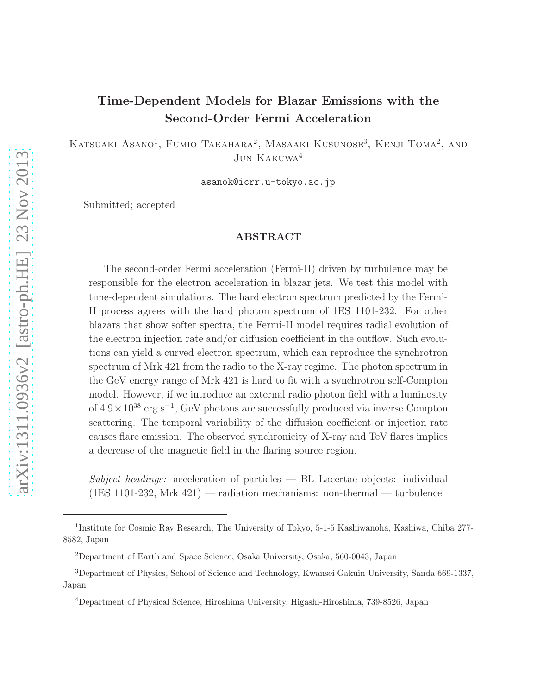# arXiv:1311.0936v2 [astro-ph.HE] 23 Nov 2013 [arXiv:1311.0936v2 \[astro-ph.HE\] 23 Nov 2013](http://arxiv.org/abs/1311.0936v2)

## Time-Dependent Models for Blazar Emissions with the Second-Order Fermi Acceleration

KATSUAKI ASANO<sup>1</sup>, FUMIO TAKAHARA<sup>2</sup>, MASAAKI KUSUNOSE<sup>3</sup>, KENJI TOMA<sup>2</sup>, AND JUN KAKUWA<sup>4</sup>

asanok@icrr.u-tokyo.ac.jp

Submitted; accepted

### ABSTRACT

The second-order Fermi acceleration (Fermi-II) driven by turbulence may be responsible for the electron acceleration in blazar jets. We test this model with time-dependent simulations. The hard electron spectrum predicted by the Fermi-II process agrees with the hard photon spectrum of 1ES 1101-232. For other blazars that show softer spectra, the Fermi-II model requires radial evolution of the electron injection rate and/or diffusion coefficient in the outflow. Such evolutions can yield a curved electron spectrum, which can reproduce the synchrotron spectrum of Mrk 421 from the radio to the X-ray regime. The photon spectrum in the GeV energy range of Mrk 421 is hard to fit with a synchrotron self-Compton model. However, if we introduce an external radio photon field with a luminosity of  $4.9 \times 10^{38}$  erg s<sup>-1</sup>, GeV photons are successfully produced via inverse Compton scattering. The temporal variability of the diffusion coefficient or injection rate causes flare emission. The observed synchronicity of X-ray and TeV flares implies a decrease of the magnetic field in the flaring source region.

Subject headings: acceleration of particles  $-$  BL Lacertae objects: individual (1ES 1101-232, Mrk 421) — radiation mechanisms: non-thermal — turbulence

<sup>&</sup>lt;sup>1</sup>Institute for Cosmic Ray Research, The University of Tokyo, 5-1-5 Kashiwanoha, Kashiwa, Chiba 277-8582, Japan

<sup>2</sup>Department of Earth and Space Science, Osaka University, Osaka, 560-0043, Japan

<sup>3</sup>Department of Physics, School of Science and Technology, Kwansei Gakuin University, Sanda 669-1337, Japan

<sup>4</sup>Department of Physical Science, Hiroshima University, Higashi-Hiroshima, 739-8526, Japan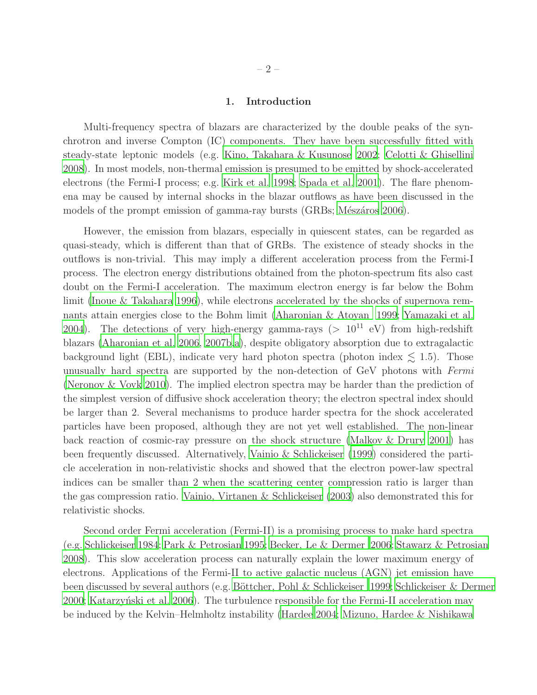### 1. Introduction

Multi-frequency spectra of blazars are characterized by the double peaks of the synchrotron and inverse Compton (IC) components. They have been successfully fitted with steady-state leptonic models (e.g. [Kino, Takahara & Kusunose 2002](#page-31-0); [Celotti & Ghisellini](#page-31-1) [2008\)](#page-31-1). In most models, non-thermal emission is presumed to be emitted by shock-accelerated electrons (the Fermi-I process; e.g. [Kirk et al. 1998;](#page-31-2) [Spada et al. 2001](#page-32-0)). The flare phenomena may be caused by internal shocks in the blazar outflows as have been discussed in the models of the prompt emission of gamma-ray bursts (GRBs; Mészáros 2006).

However, the emission from blazars, especially in quiescent states, can be regarded as quasi-steady, which is different than that of GRBs. The existence of steady shocks in the outflows is non-trivial. This may imply a different acceleration process from the Fermi-I process. The electron energy distributions obtained from the photon-spectrum fits also cast doubt on the Fermi-I acceleration. The maximum electron energy is far below the Bohm limit [\(Inoue & Takahara 1996](#page-31-3)), while electrons accelerated by the shocks of supernova remnants attain energies close to the Bohm limit [\(Aharonian & Atoyan 1999;](#page-30-0) [Yamazaki et al.](#page-33-0) [2004\)](#page-33-0). The detections of very high-energy gamma-rays ( $> 10^{11}$  eV) from high-redshift blazars [\(Aharonian et al. 2006](#page-30-1), [2007b](#page-30-2)[,a](#page-30-3)), despite obligatory absorption due to extragalactic background light (EBL), indicate very hard photon spectra (photon index  $\leq$  1.5). Those unusually hard spectra are supported by the non-detection of GeV photons with Fermi [\(Neronov & Vovk 2010\)](#page-32-2). The implied electron spectra may be harder than the prediction of the simplest version of diffusive shock acceleration theory; the electron spectral index should be larger than 2. Several mechanisms to produce harder spectra for the shock accelerated particles have been proposed, although they are not yet well established. The non-linear back reaction of cosmic-ray pressure on the shock structure [\(Malkov & Drury 2001](#page-32-3)) has been frequently discussed. Alternatively, [Vainio & Schlickeiser \(1999\)](#page-33-1) considered the particle acceleration in non-relativistic shocks and showed that the electron power-law spectral indices can be smaller than 2 when the scattering center compression ratio is larger than the gas compression ratio. [Vainio, Virtanen & Schlickeiser \(2003\)](#page-33-2) also demonstrated this for relativistic shocks.

Second order Fermi acceleration (Fermi-II) is a promising process to make hard spectra (e.g. [Schlickeiser 1984;](#page-32-4) [Park & Petrosian 1995;](#page-32-5) [Becker, Le & Dermer 2006](#page-31-4); [Stawarz & Petrosian](#page-32-6) [2008\)](#page-32-6). This slow acceleration process can naturally explain the lower maximum energy of electrons. Applications of the Fermi-II to active galactic nucleus (AGN) jet emission have been discussed by several authors (e.g. Böttcher, Pohl & Schlickeiser 1999; [Schlickeiser & Dermer](#page-32-7) [2000;](#page-32-7) Katarzyński et al. 2006). The turbulence responsible for the Fermi-II acceleration may be induced by the Kelvin–Helmholtz instability [\(Hardee 2004;](#page-31-7) [Mizuno, Hardee & Nishikawa](#page-32-8)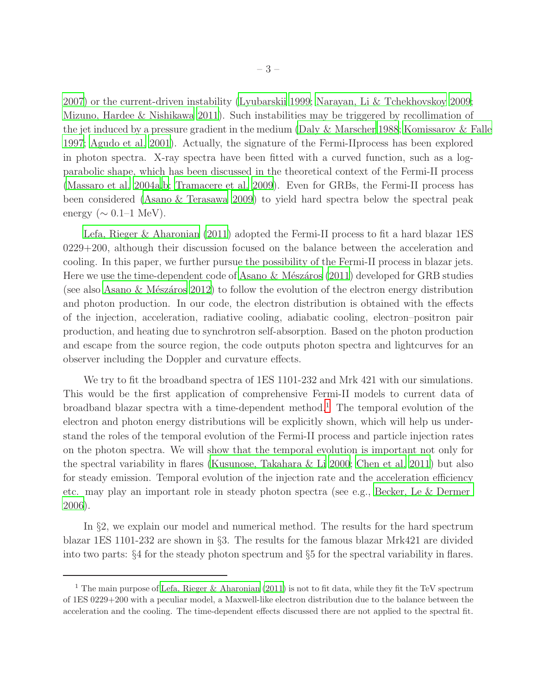[2007\)](#page-32-8) or the current-driven instability [\(Lyubarskii 1999;](#page-32-9) [Narayan, Li & Tchekhovskoy 2009;](#page-32-10) [Mizuno, Hardee & Nishikawa 2011](#page-32-11)). Such instabilities may be triggered by recollimation of the jet induced by a pressure gradient in the medium [\(Daly & Marscher 1988;](#page-31-8) [Komissarov & Falle](#page-32-12) [1997;](#page-32-12) [Agudo et al. 2001](#page-30-4)). Actually, the signature of the Fermi-IIprocess has been explored in photon spectra. X-ray spectra have been fitted with a curved function, such as a logparabolic shape, which has been discussed in the theoretical context of the Fermi-II process [\(Massaro et al. 2004a](#page-32-13)[,b](#page-32-14); [Tramacere et al. 2009\)](#page-32-15). Even for GRBs, the Fermi-II process has been considered [\(Asano & Terasawa 2009\)](#page-31-9) to yield hard spectra below the spectral peak energy ( $\sim 0.1$ –1 MeV).

[Lefa, Rieger & Aharonian \(2011\)](#page-32-16) adopted the Fermi-II process to fit a hard blazar 1ES 0229+200, although their discussion focused on the balance between the acceleration and cooling. In this paper, we further pursue the possibility of the Fermi-II process in blazar jets. Here we use the time-dependent code of Asano  $\&$  Mészáros (2011) developed for GRB studies (see also Asano  $\&$  Mészáros 2012) to follow the evolution of the electron energy distribution and photon production. In our code, the electron distribution is obtained with the effects of the injection, acceleration, radiative cooling, adiabatic cooling, electron–positron pair production, and heating due to synchrotron self-absorption. Based on the photon production and escape from the source region, the code outputs photon spectra and lightcurves for an observer including the Doppler and curvature effects.

We try to fit the broadband spectra of 1ES 1101-232 and Mrk 421 with our simulations. This would be the first application of comprehensive Fermi-II models to current data of broadband blazar spectra with a time-dependent method.<sup>[1](#page-2-0)</sup> The temporal evolution of the electron and photon energy distributions will be explicitly shown, which will help us understand the roles of the temporal evolution of the Fermi-II process and particle injection rates on the photon spectra. We will show that the temporal evolution is important not only for the spectral variability in flares [\(Kusunose, Takahara & Li 2000](#page-32-17); [Chen et al. 2011\)](#page-31-12) but also for steady emission. Temporal evolution of the injection rate and the acceleration efficiency etc. may play an important role in steady photon spectra (see e.g., [Becker, Le & Dermer](#page-31-4) [2006\)](#page-31-4).

In §2, we explain our model and numerical method. The results for the hard spectrum blazar 1ES 1101-232 are shown in §3. The results for the famous blazar Mrk421 are divided into two parts: §4 for the steady photon spectrum and §5 for the spectral variability in flares.

<span id="page-2-0"></span><sup>&</sup>lt;sup>1</sup> The main purpose of [Lefa, Rieger & Aharonian \(2011\)](#page-32-16) is not to fit data, while they fit the TeV spectrum of 1ES 0229+200 with a peculiar model, a Maxwell-like electron distribution due to the balance between the acceleration and the cooling. The time-dependent effects discussed there are not applied to the spectral fit.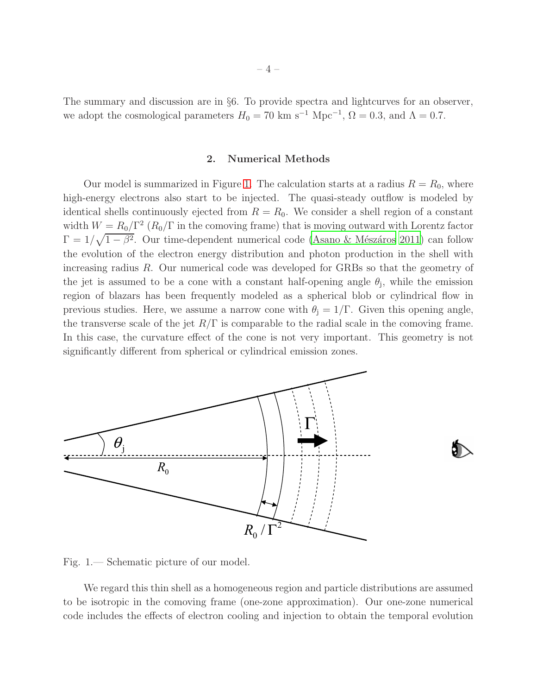<span id="page-3-1"></span>The summary and discussion are in §6. To provide spectra and lightcurves for an observer, we adopt the cosmological parameters  $H_0 = 70 \text{ km s}^{-1} \text{ Mpc}^{-1}$ ,  $\Omega = 0.3$ , and  $\Lambda = 0.7$ .

### 2. Numerical Methods

Our model is summarized in Figure [1.](#page-3-0) The calculation starts at a radius  $R = R_0$ , where high-energy electrons also start to be injected. The quasi-steady outflow is modeled by identical shells continuously ejected from  $R = R_0$ . We consider a shell region of a constant width  $W = R_0/\Gamma^2 (R_0/\Gamma)$  in the comoving frame) that is moving outward with Lorentz factor  $\Gamma = 1/\sqrt{1-\beta^2}$ . Our time-dependent numerical code (Asano & Mészáros 2011) can follow the evolution of the electron energy distribution and photon production in the shell with increasing radius R. Our numerical code was developed for GRBs so that the geometry of the jet is assumed to be a cone with a constant half-opening angle  $\theta_j$ , while the emission region of blazars has been frequently modeled as a spherical blob or cylindrical flow in previous studies. Here, we assume a narrow cone with  $\theta_i = 1/\Gamma$ . Given this opening angle, the transverse scale of the jet  $R/\Gamma$  is comparable to the radial scale in the comoving frame. In this case, the curvature effect of the cone is not very important. This geometry is not significantly different from spherical or cylindrical emission zones.



<span id="page-3-0"></span>Fig. 1.— Schematic picture of our model.

We regard this thin shell as a homogeneous region and particle distributions are assumed to be isotropic in the comoving frame (one-zone approximation). Our one-zone numerical code includes the effects of electron cooling and injection to obtain the temporal evolution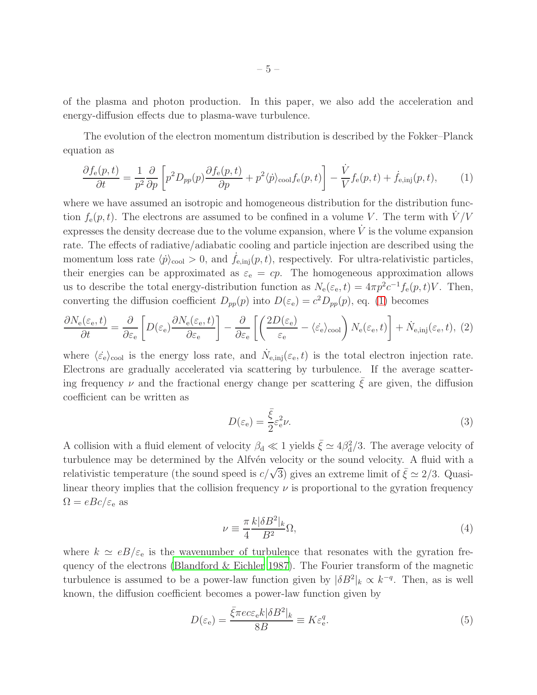of the plasma and photon production. In this paper, we also add the acceleration and energy-diffusion effects due to plasma-wave turbulence.

The evolution of the electron momentum distribution is described by the Fokker–Planck equation as

<span id="page-4-0"></span>
$$
\frac{\partial f_e(p,t)}{\partial t} = \frac{1}{p^2} \frac{\partial}{\partial p} \left[ p^2 D_{pp}(p) \frac{\partial f_e(p,t)}{\partial p} + p^2 \langle \dot{p} \rangle_{\text{cool}} f_e(p,t) \right] - \frac{\dot{V}}{V} f_e(p,t) + \dot{f}_{e,\text{inj}}(p,t),\tag{1}
$$

where we have assumed an isotropic and homogeneous distribution for the distribution function  $f_e(p, t)$ . The electrons are assumed to be confined in a volume V. The term with  $V/V$ expresses the density decrease due to the volume expansion, where  $\dot{V}$  is the volume expansion rate. The effects of radiative/adiabatic cooling and particle injection are described using the momentum loss rate  $\langle \dot{p} \rangle_{\text{cool}} > 0$ , and  $f_{e,inj}(p, t)$ , respectively. For ultra-relativistic particles, their energies can be approximated as  $\varepsilon_e = cp$ . The homogeneous approximation allows us to describe the total energy-distribution function as  $N_e(\varepsilon_e, t) = 4\pi p^2 c^{-1} f_e(p, t) V$ . Then, converting the diffusion coefficient  $D_{pp}(p)$  into  $D(\varepsilon_e) = c^2 D_{pp}(p)$ , eq. [\(1\)](#page-4-0) becomes

<span id="page-4-1"></span>
$$
\frac{\partial N_{\rm e}(\varepsilon_{\rm e},t)}{\partial t} = \frac{\partial}{\partial \varepsilon_{\rm e}} \left[ D(\varepsilon_{\rm e}) \frac{\partial N_{\rm e}(\varepsilon_{\rm e},t)}{\partial \varepsilon_{\rm e}} \right] - \frac{\partial}{\partial \varepsilon_{\rm e}} \left[ \left( \frac{2D(\varepsilon_{\rm e})}{\varepsilon_{\rm e}} - \langle \varepsilon_{\rm e} \rangle_{\rm cool} \right) N_{\rm e}(\varepsilon_{\rm e},t) \right] + \dot{N}_{\rm e,inj}(\varepsilon_{\rm e},t), (2)
$$

where  $\langle \xi_e \rangle_{\text{cool}}$  is the energy loss rate, and  $\dot{N}_{e, inj}(\varepsilon_e, t)$  is the total electron injection rate. Electrons are gradually accelerated via scattering by turbulence. If the average scattering frequency  $\nu$  and the fractional energy change per scattering  $\xi$  are given, the diffusion coefficient can be written as

$$
D(\varepsilon_{\rm e}) = \frac{\bar{\xi}}{2} \varepsilon_{\rm e}^2 \nu. \tag{3}
$$

A collision with a fluid element of velocity  $\beta_d \ll 1$  yields  $\bar{\xi} \simeq 4\beta_d^2/3$ . The average velocity of turbulence may be determined by the Alfvén velocity or the sound velocity. A fluid with a relativistic temperature (the sound speed is  $c/\sqrt{3}$ ) gives an extreme limit of  $\bar{\xi} \simeq 2/3$ . Quasilinear theory implies that the collision frequency  $\nu$  is proportional to the gyration frequency  $\Omega = eBc/\varepsilon_e$  as

<span id="page-4-3"></span>
$$
\nu \equiv \frac{\pi}{4} \frac{k|\delta B^2|_k}{B^2} \Omega,\tag{4}
$$

where  $k \simeq eB/\varepsilon_e$  is the wavenumber of turbulence that resonates with the gyration frequency of the electrons [\(Blandford & Eichler 1987](#page-31-13)). The Fourier transform of the magnetic turbulence is assumed to be a power-law function given by  $|\delta B^2|_k \propto k^{-q}$ . Then, as is well known, the diffusion coefficient becomes a power-law function given by

<span id="page-4-2"></span>
$$
D(\varepsilon_{e}) = \frac{\bar{\xi}\pi e c \varepsilon_{e} k |\delta B^{2}|_{k}}{8B} \equiv K \varepsilon_{e}^{q}.
$$
\n
$$
(5)
$$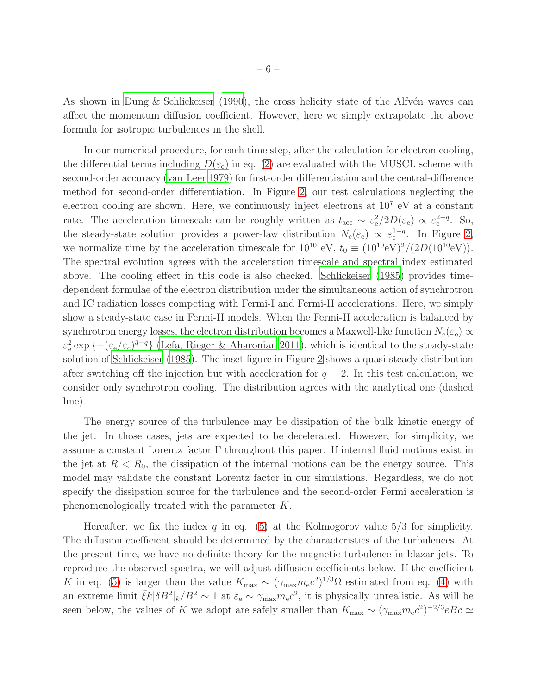As shown in [Dung & Schlickeiser \(1990\)](#page-31-14), the cross helicity state of the Alfv $\acute{e}$ n waves can affect the momentum diffusion coefficient. However, here we simply extrapolate the above formula for isotropic turbulences in the shell.

In our numerical procedure, for each time step, after the calculation for electron cooling, the differential terms including  $D(\varepsilon_e)$  in eq. [\(2\)](#page-4-1) are evaluated with the MUSCL scheme with second-order accuracy [\(van Leer 1979](#page-33-3)) for first-order differentiation and the central-difference method for second-order differentiation. In Figure [2,](#page-6-0) our test calculations neglecting the electron cooling are shown. Here, we continuously inject electrons at  $10<sup>7</sup>$  eV at a constant rate. The acceleration timescale can be roughly written as  $t_{\text{acc}} \sim \varepsilon_{\text{e}}^2/2D(\varepsilon_{\text{e}}) \propto \varepsilon_{\text{e}}^{2-q}$ . So, the steady-state solution provides a power-law distribution  $N_e(\varepsilon_e) \propto \varepsilon_e^{1-q}$ . In Figure [2,](#page-6-0) we normalize time by the acceleration timescale for  $10^{10}$  eV,  $t_0 \equiv (10^{10} \text{eV})^2/(2D(10^{10} \text{eV}))$ . The spectral evolution agrees with the acceleration timescale and spectral index estimated above. The cooling effect in this code is also checked. [Schlickeiser \(1985\)](#page-32-18) provides timedependent formulae of the electron distribution under the simultaneous action of synchrotron and IC radiation losses competing with Fermi-I and Fermi-II accelerations. Here, we simply show a steady-state case in Fermi-II models. When the Fermi-II acceleration is balanced by synchrotron energy losses, the electron distribution becomes a Maxwell-like function  $N_e(\varepsilon_e) \propto$  $\varepsilon_e^2 \exp\{- (\varepsilon_e/\varepsilon_c)^{3-q} \}$  [\(Lefa, Rieger & Aharonian 2011](#page-32-16)), which is identical to the steady-state solution of [Schlickeiser \(1985\)](#page-32-18). The inset figure in Figure [2](#page-6-0) shows a quasi-steady distribution after switching off the injection but with acceleration for  $q = 2$ . In this test calculation, we consider only synchrotron cooling. The distribution agrees with the analytical one (dashed line).

The energy source of the turbulence may be dissipation of the bulk kinetic energy of the jet. In those cases, jets are expected to be decelerated. However, for simplicity, we assume a constant Lorentz factor  $\Gamma$  throughout this paper. If internal fluid motions exist in the jet at  $R < R_0$ , the dissipation of the internal motions can be the energy source. This model may validate the constant Lorentz factor in our simulations. Regardless, we do not specify the dissipation source for the turbulence and the second-order Fermi acceleration is phenomenologically treated with the parameter K.

Hereafter, we fix the index q in eq. [\(5\)](#page-4-2) at the Kolmogorov value  $5/3$  for simplicity. The diffusion coefficient should be determined by the characteristics of the turbulences. At the present time, we have no definite theory for the magnetic turbulence in blazar jets. To reproduce the observed spectra, we will adjust diffusion coefficients below. If the coefficient K in eq. [\(5\)](#page-4-2) is larger than the value  $K_{\text{max}} \sim (\gamma_{\text{max}} m_e c^2)^{1/3} \Omega$  estimated from eq. [\(4\)](#page-4-3) with an extreme limit  $\bar{\xi}k|\delta B^2|_k/B^2 \sim 1$  at  $\varepsilon_e \sim \gamma_{\text{max}} m_e c^2$ , it is physically unrealistic. As will be seen below, the values of K we adopt are safely smaller than  $K_{\text{max}} \sim (\gamma_{\text{max}} m_e c^2)^{-2/3} e B c \simeq$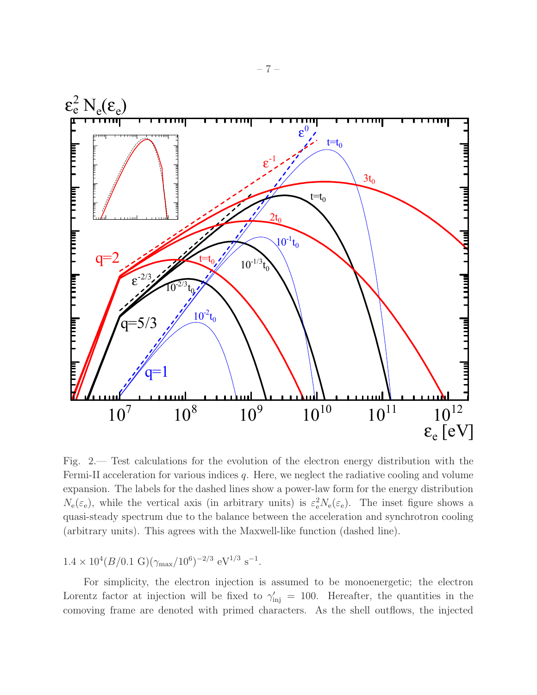

<span id="page-6-0"></span>Fig. 2.— Test calculations for the evolution of the electron energy distribution with the Fermi-II acceleration for various indices  $q$ . Here, we neglect the radiative cooling and volume expansion. The labels for the dashed lines show a power-law form for the energy distribution  $N_e(\varepsilon_e)$ , while the vertical axis (in arbitrary units) is  $\varepsilon_e^2 N_e(\varepsilon_e)$ . The inset figure shows a quasi-steady spectrum due to the balance between the acceleration and synchrotron cooling (arbitrary units). This agrees with the Maxwell-like function (dashed line).

# $1.4 \times 10^4 (B/0.1 \text{ G})(\gamma_{\text{max}}/10^6)^{-2/3} \text{ eV}^{1/3} \text{ s}^{-1}.$

For simplicity, the electron injection is assumed to be monoenergetic; the electron Lorentz factor at injection will be fixed to  $\gamma'_{\rm inj} = 100$ . Hereafter, the quantities in the comoving frame are denoted with primed characters. As the shell outflows, the injected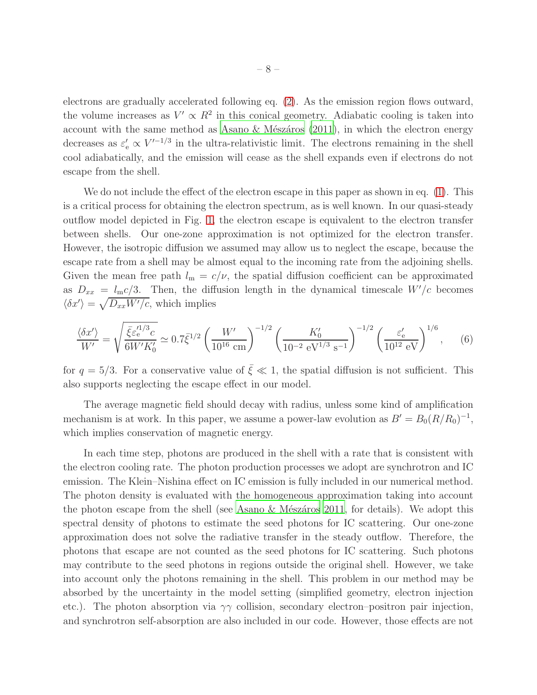electrons are gradually accelerated following eq. [\(2\)](#page-4-1). As the emission region flows outward, the volume increases as  $V' \propto R^2$  in this conical geometry. Adiabatic cooling is taken into account with the same method as Asano  $&$  Mészáros (2011), in which the electron energy decreases as  $\varepsilon'_{e} \propto V'^{-1/3}$  in the ultra-relativistic limit. The electrons remaining in the shell cool adiabatically, and the emission will cease as the shell expands even if electrons do not escape from the shell.

We do not include the effect of the electron escape in this paper as shown in eq. [\(1\)](#page-4-0). This is a critical process for obtaining the electron spectrum, as is well known. In our quasi-steady outflow model depicted in Fig. [1,](#page-3-0) the electron escape is equivalent to the electron transfer between shells. Our one-zone approximation is not optimized for the electron transfer. However, the isotropic diffusion we assumed may allow us to neglect the escape, because the escape rate from a shell may be almost equal to the incoming rate from the adjoining shells. Given the mean free path  $l_m = c/\nu$ , the spatial diffusion coefficient can be approximated as  $D_{xx} = l_{\text{m}}c/3$ . Then, the diffusion length in the dynamical timescale  $W'/c$  becomes  $\langle \delta x' \rangle = \sqrt{D_{xx} W'/c}$ , which implies

$$
\frac{\langle \delta x' \rangle}{W'} = \sqrt{\frac{\bar{\xi} \varepsilon_{\rm e}^{\prime 1/3} c}{6W' K_0'}} \simeq 0.7 \bar{\xi}^{1/2} \left(\frac{W'}{10^{16} \text{ cm}}\right)^{-1/2} \left(\frac{K_0'}{10^{-2} \text{ eV}^{1/3} \text{ s}^{-1}}\right)^{-1/2} \left(\frac{\varepsilon_{\rm e}'}{10^{12} \text{ eV}}\right)^{1/6},\tag{6}
$$

for  $q = 5/3$ . For a conservative value of  $\bar{\xi} \ll 1$ , the spatial diffusion is not sufficient. This also supports neglecting the escape effect in our model.

The average magnetic field should decay with radius, unless some kind of amplification mechanism is at work. In this paper, we assume a power-law evolution as  $B' = B_0 (R/R_0)^{-1}$ , which implies conservation of magnetic energy.

In each time step, photons are produced in the shell with a rate that is consistent with the electron cooling rate. The photon production processes we adopt are synchrotron and IC emission. The Klein–Nishina effect on IC emission is fully included in our numerical method. The photon density is evaluated with the homogeneous approximation taking into account the photon escape from the shell (see Asano  $\&$  Mészáros 2011, for details). We adopt this spectral density of photons to estimate the seed photons for IC scattering. Our one-zone approximation does not solve the radiative transfer in the steady outflow. Therefore, the photons that escape are not counted as the seed photons for IC scattering. Such photons may contribute to the seed photons in regions outside the original shell. However, we take into account only the photons remaining in the shell. This problem in our method may be absorbed by the uncertainty in the model setting (simplified geometry, electron injection etc.). The photon absorption via  $\gamma\gamma$  collision, secondary electron–positron pair injection, and synchrotron self-absorption are also included in our code. However, those effects are not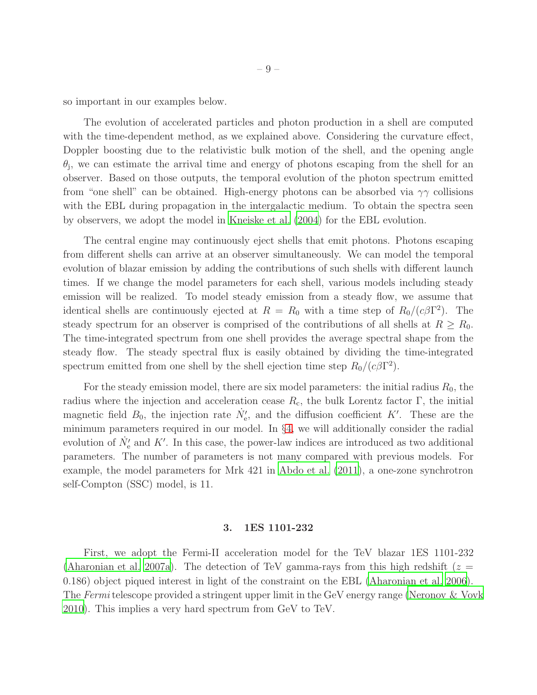so important in our examples below.

The evolution of accelerated particles and photon production in a shell are computed with the time-dependent method, as we explained above. Considering the curvature effect, Doppler boosting due to the relativistic bulk motion of the shell, and the opening angle  $\theta_j$ , we can estimate the arrival time and energy of photons escaping from the shell for an observer. Based on those outputs, the temporal evolution of the photon spectrum emitted from "one shell" can be obtained. High-energy photons can be absorbed via  $\gamma\gamma$  collisions with the EBL during propagation in the intergalactic medium. To obtain the spectra seen by observers, we adopt the model in [Kneiske et al. \(2004\)](#page-31-15) for the EBL evolution.

The central engine may continuously eject shells that emit photons. Photons escaping from different shells can arrive at an observer simultaneously. We can model the temporal evolution of blazar emission by adding the contributions of such shells with different launch times. If we change the model parameters for each shell, various models including steady emission will be realized. To model steady emission from a steady flow, we assume that identical shells are continuously ejected at  $R = R_0$  with a time step of  $R_0/(c\beta\Gamma^2)$ . The steady spectrum for an observer is comprised of the contributions of all shells at  $R \geq R_0$ . The time-integrated spectrum from one shell provides the average spectral shape from the steady flow. The steady spectral flux is easily obtained by dividing the time-integrated spectrum emitted from one shell by the shell ejection time step  $R_0/(c\beta\Gamma^2)$ .

For the steady emission model, there are six model parameters: the initial radius  $R_0$ , the radius where the injection and acceleration cease  $R_c$ , the bulk Lorentz factor Γ, the initial magnetic field  $B_0$ , the injection rate  $\dot{N}'_e$ , and the diffusion coefficient K'. These are the minimum parameters required in our model. In §[4,](#page-11-0) we will additionally consider the radial evolution of  $\dot{N}'_e$  and K'. In this case, the power-law indices are introduced as two additional parameters. The number of parameters is not many compared with previous models. For example, the model parameters for Mrk 421 in [Abdo et al. \(2011\)](#page-30-5), a one-zone synchrotron self-Compton (SSC) model, is 11.

### 3. 1ES 1101-232

First, we adopt the Fermi-II acceleration model for the TeV blazar 1ES 1101-232 [\(Aharonian et al. 2007a](#page-30-3)). The detection of TeV gamma-rays from this high redshift ( $z =$ 0.186) object piqued interest in light of the constraint on the EBL [\(Aharonian et al. 2006](#page-30-1)). The Fermi telescope provided a stringent upper limit in the GeV energy range [\(Neronov & Vovk](#page-32-2) [2010\)](#page-32-2). This implies a very hard spectrum from GeV to TeV.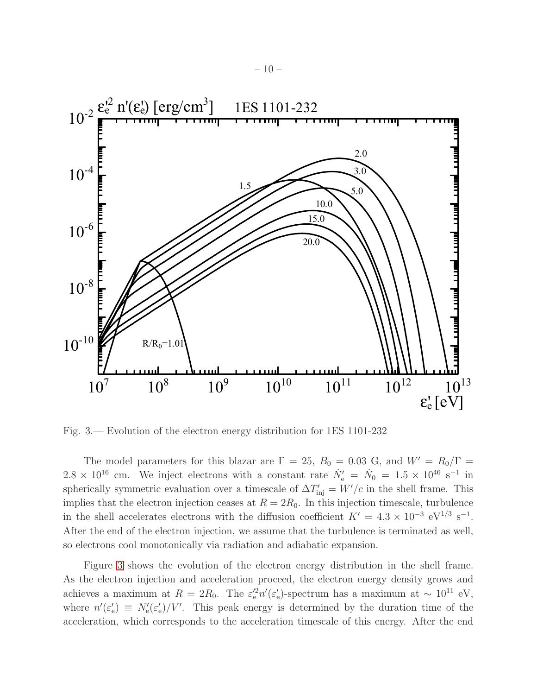

<span id="page-9-0"></span>Fig. 3.— Evolution of the electron energy distribution for 1ES 1101-232

The model parameters for this blazar are  $\Gamma = 25$ ,  $B_0 = 0.03$  G, and  $W' = R_0/\Gamma =$  $2.8 \times 10^{16}$  cm. We inject electrons with a constant rate  $\dot{N}'_e = \dot{N}_0 = 1.5 \times 10^{46}$  s<sup>-1</sup> in spherically symmetric evaluation over a timescale of  $\Delta T'_{\text{inj}} = W'/c$  in the shell frame. This implies that the electron injection ceases at  $R = 2R_0$ . In this injection timescale, turbulence in the shell accelerates electrons with the diffusion coefficient  $K' = 4.3 \times 10^{-3} \text{ eV}^{1/3} \text{ s}^{-1}$ . After the end of the electron injection, we assume that the turbulence is terminated as well, so electrons cool monotonically via radiation and adiabatic expansion.

Figure [3](#page-9-0) shows the evolution of the electron energy distribution in the shell frame. As the electron injection and acceleration proceed, the electron energy density grows and achieves a maximum at  $R = 2R_0$ . The  $\varepsilon_e^{\prime 2} n^{\prime} (\varepsilon_e^{\prime})$  $e'$ )-spectrum has a maximum at  $\sim 10^{11}$  eV, where  $n'(\varepsilon'_e)$  $S_{\rm e}$ )  $\equiv N_{\rm e}'(\varepsilon_{\rm e}'$  $\binom{1}{e}/V'$ . This peak energy is determined by the duration time of the acceleration, which corresponds to the acceleration timescale of this energy. After the end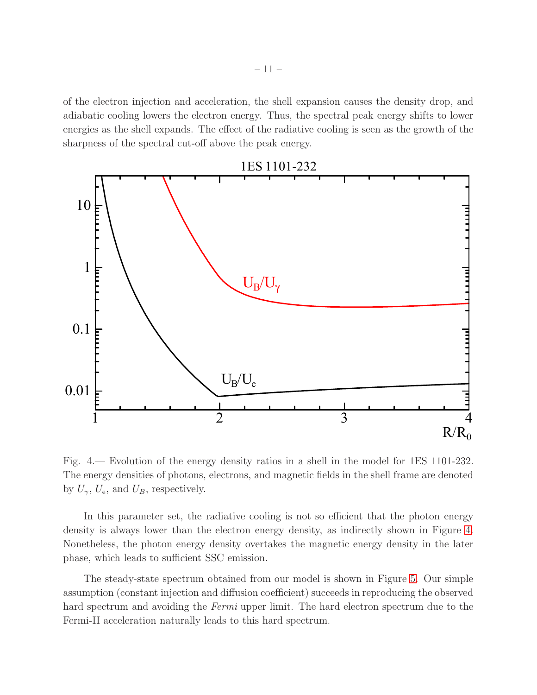of the electron injection and acceleration, the shell expansion causes the density drop, and adiabatic cooling lowers the electron energy. Thus, the spectral peak energy shifts to lower energies as the shell expands. The effect of the radiative cooling is seen as the growth of the sharpness of the spectral cut-off above the peak energy.



<span id="page-10-0"></span>Fig. 4.— Evolution of the energy density ratios in a shell in the model for 1ES 1101-232. The energy densities of photons, electrons, and magnetic fields in the shell frame are denoted by  $U_{\gamma}$ ,  $U_{\rm e}$ , and  $U_{B}$ , respectively.

In this parameter set, the radiative cooling is not so efficient that the photon energy density is always lower than the electron energy density, as indirectly shown in Figure [4.](#page-10-0) Nonetheless, the photon energy density overtakes the magnetic energy density in the later phase, which leads to sufficient SSC emission.

The steady-state spectrum obtained from our model is shown in Figure [5.](#page-11-1) Our simple assumption (constant injection and diffusion coefficient) succeeds in reproducing the observed hard spectrum and avoiding the Fermi upper limit. The hard electron spectrum due to the Fermi-II acceleration naturally leads to this hard spectrum.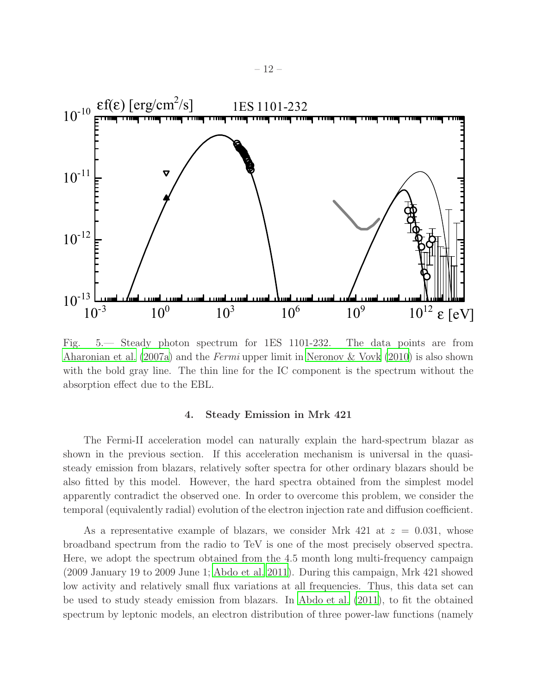

<span id="page-11-1"></span>Fig. 5.— Steady photon spectrum for 1ES 1101-232. The data points are from [Aharonian et al. \(2007a\)](#page-30-3) and the Fermi upper limit in [Neronov & Vovk \(2010](#page-32-2)) is also shown with the bold gray line. The thin line for the IC component is the spectrum without the absorption effect due to the EBL.

### 4. Steady Emission in Mrk 421

<span id="page-11-0"></span>The Fermi-II acceleration model can naturally explain the hard-spectrum blazar as shown in the previous section. If this acceleration mechanism is universal in the quasisteady emission from blazars, relatively softer spectra for other ordinary blazars should be also fitted by this model. However, the hard spectra obtained from the simplest model apparently contradict the observed one. In order to overcome this problem, we consider the temporal (equivalently radial) evolution of the electron injection rate and diffusion coefficient.

As a representative example of blazars, we consider Mrk 421 at  $z = 0.031$ , whose broadband spectrum from the radio to TeV is one of the most precisely observed spectra. Here, we adopt the spectrum obtained from the 4.5 month long multi-frequency campaign (2009 January 19 to 2009 June 1; [Abdo et al. 2011](#page-30-5)). During this campaign, Mrk 421 showed low activity and relatively small flux variations at all frequencies. Thus, this data set can be used to study steady emission from blazars. In [Abdo et al. \(2011](#page-30-5)), to fit the obtained spectrum by leptonic models, an electron distribution of three power-law functions (namely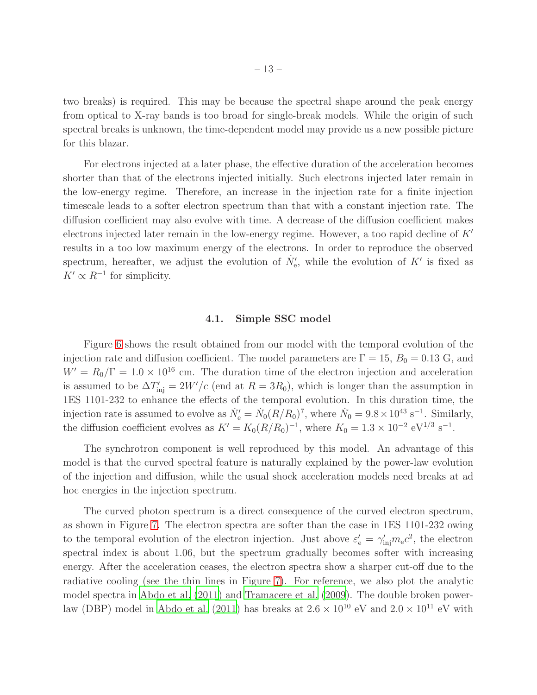two breaks) is required. This may be because the spectral shape around the peak energy from optical to X-ray bands is too broad for single-break models. While the origin of such spectral breaks is unknown, the time-dependent model may provide us a new possible picture for this blazar.

For electrons injected at a later phase, the effective duration of the acceleration becomes shorter than that of the electrons injected initially. Such electrons injected later remain in the low-energy regime. Therefore, an increase in the injection rate for a finite injection timescale leads to a softer electron spectrum than that with a constant injection rate. The diffusion coefficient may also evolve with time. A decrease of the diffusion coefficient makes electrons injected later remain in the low-energy regime. However, a too rapid decline of K′ results in a too low maximum energy of the electrons. In order to reproduce the observed spectrum, hereafter, we adjust the evolution of  $\dot{N}'_e$ , while the evolution of K' is fixed as  $K' \propto R^{-1}$  for simplicity.

### 4.1. Simple SSC model

<span id="page-12-0"></span>Figure [6](#page-13-0) shows the result obtained from our model with the temporal evolution of the injection rate and diffusion coefficient. The model parameters are  $\Gamma = 15$ ,  $B_0 = 0.13$  G, and  $W' = R_0/\Gamma = 1.0 \times 10^{16}$  cm. The duration time of the electron injection and acceleration is assumed to be  $\Delta T'_{\text{inj}} = 2W'/c$  (end at  $R = 3R_0$ ), which is longer than the assumption in 1ES 1101-232 to enhance the effects of the temporal evolution. In this duration time, the injection rate is assumed to evolve as  $\dot{N}'_e = \dot{N}_0 (R/R_0)^7$ , where  $\dot{N}_0 = 9.8 \times 10^{43} \text{ s}^{-1}$ . Similarly, the diffusion coefficient evolves as  $K' = K_0 (R/R_0)^{-1}$ , where  $K_0 = 1.3 \times 10^{-2} \text{ eV}^{1/3} \text{ s}^{-1}$ .

The synchrotron component is well reproduced by this model. An advantage of this model is that the curved spectral feature is naturally explained by the power-law evolution of the injection and diffusion, while the usual shock acceleration models need breaks at ad hoc energies in the injection spectrum.

The curved photon spectrum is a direct consequence of the curved electron spectrum, as shown in Figure [7.](#page-14-0) The electron spectra are softer than the case in 1ES 1101-232 owing to the temporal evolution of the electron injection. Just above  $\varepsilon'_{e} = \gamma'_{inj} m_{e} c^{2}$ , the electron spectral index is about 1.06, but the spectrum gradually becomes softer with increasing energy. After the acceleration ceases, the electron spectra show a sharper cut-off due to the radiative cooling (see the thin lines in Figure [7\)](#page-14-0). For reference, we also plot the analytic model spectra in [Abdo et al. \(2011\)](#page-30-5) and [Tramacere et al. \(2009](#page-32-15)). The double broken power-law (DBP) model in [Abdo et al. \(2011\)](#page-30-5) has breaks at  $2.6 \times 10^{10}$  eV and  $2.0 \times 10^{11}$  eV with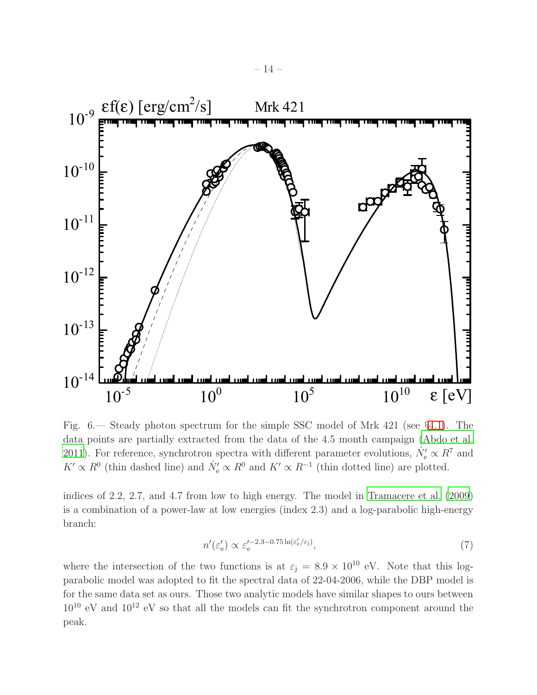

<span id="page-13-0"></span>Fig. 6.— Steady photon spectrum for the simple SSC model of Mrk 421 (see §[4.1\)](#page-12-0). The data points are partially extracted from the data of the 4.5 month campaign [\(Abdo et al.](#page-30-5) [2011\)](#page-30-5). For reference, synchrotron spectra with different parameter evolutions,  $\dot{N}'_e \propto R^7$  and  $K' \propto R^0$  (thin dashed line) and  $\dot{N}'_e \propto R^0$  and  $K' \propto R^{-1}$  (thin dotted line) are plotted.

indices of 2.2, 2.7, and 4.7 from low to high energy. The model in [Tramacere et al. \(2009\)](#page-32-15) is a combination of a power-law at low energies (index 2.3) and a log-parabolic high-energy branch:

$$
n'(\varepsilon_e') \propto \varepsilon_e'^{-2.3 - 0.75 \ln(\varepsilon_e'/\varepsilon_j)},\tag{7}
$$

where the intersection of the two functions is at  $\varepsilon_j = 8.9 \times 10^{10}$  eV. Note that this logparabolic model was adopted to fit the spectral data of 22-04-2006, while the DBP model is for the same data set as ours. Those two analytic models have similar shapes to ours between  $10^{10}$  eV and  $10^{12}$  eV so that all the models can fit the synchrotron component around the peak.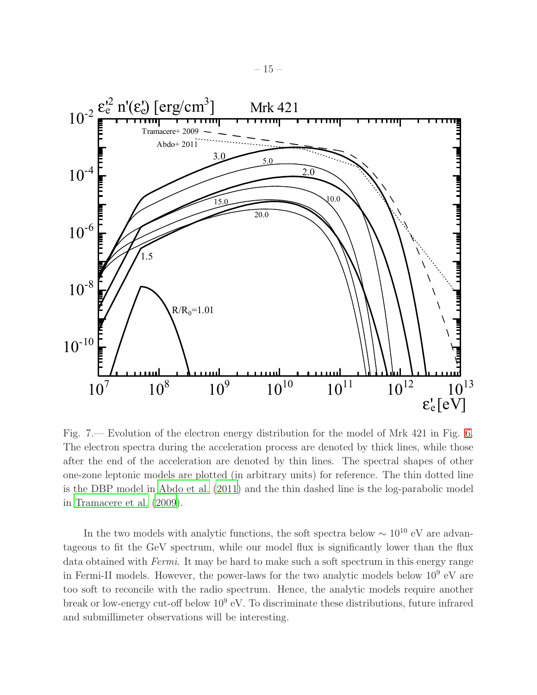

<span id="page-14-0"></span>Fig. 7.— Evolution of the electron energy distribution for the model of Mrk 421 in Fig. [6.](#page-13-0) The electron spectra during the acceleration process are denoted by thick lines, while those after the end of the acceleration are denoted by thin lines. The spectral shapes of other one-zone leptonic models are plotted (in arbitrary units) for reference. The thin dotted line is the DBP model in [Abdo et al. \(2011\)](#page-30-5) and the thin dashed line is the log-parabolic model in [Tramacere et al. \(2009](#page-32-15)).

In the two models with analytic functions, the soft spectra below  $\sim 10^{10}$  eV are advantageous to fit the GeV spectrum, while our model flux is significantly lower than the flux data obtained with Fermi. It may be hard to make such a soft spectrum in this energy range in Fermi-II models. However, the power-laws for the two analytic models below  $10^9$  eV are too soft to reconcile with the radio spectrum. Hence, the analytic models require another break or low-energy cut-off below  $10^9$  eV. To discriminate these distributions, future infrared and submillimeter observations will be interesting.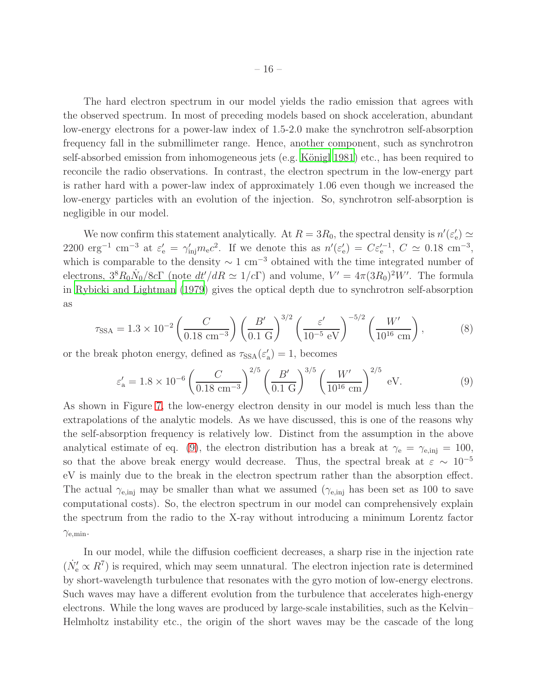The hard electron spectrum in our model yields the radio emission that agrees with the observed spectrum. In most of preceding models based on shock acceleration, abundant low-energy electrons for a power-law index of 1.5-2.0 make the synchrotron self-absorption frequency fall in the submillimeter range. Hence, another component, such as synchrotron self-absorbed emission from inhomogeneous jets (e.g. Königl 1981) etc., has been required to reconcile the radio observations. In contrast, the electron spectrum in the low-energy part is rather hard with a power-law index of approximately 1.06 even though we increased the low-energy particles with an evolution of the injection. So, synchrotron self-absorption is negligible in our model.

We now confirm this statement analytically. At  $R = 3R_0$ , the spectral density is  $n'(\varepsilon_n)$  $_{\rm e}^{\prime}) \simeq$ 2200 erg<sup>-1</sup> cm<sup>-3</sup> at  $\varepsilon'_{e} = \gamma'_{inj} m_{e} c^{2}$ . If we denote this as  $n'(\varepsilon'_{e})$  $(e') = C \varepsilon_e^{\prime -1}, C \simeq 0.18 \text{ cm}^{-3},$ which is comparable to the density  $\sim 1 \text{ cm}^{-3}$  obtained with the time integrated number of electrons,  $3^{8}R_{0}\dot{N}_{0}/8c\Gamma$  (note  $dt'/dR \simeq 1/c\Gamma$ ) and volume,  $V' = 4\pi(3R_{0})^{2}W'$ . The formula in [Rybicki and Lightman \(1979](#page-32-20)) gives the optical depth due to synchrotron self-absorption as

$$
\tau_{\text{SSA}} = 1.3 \times 10^{-2} \left( \frac{C}{0.18 \text{ cm}^{-3}} \right) \left( \frac{B'}{0.1 \text{ G}} \right)^{3/2} \left( \frac{\varepsilon'}{10^{-5} \text{ eV}} \right)^{-5/2} \left( \frac{W'}{10^{16} \text{ cm}} \right),\tag{8}
$$

or the break photon energy, defined as  $\tau_{\text{SSA}}(\varepsilon'_{\varepsilon})$  $a'_{\rm a}$ ) = 1, becomes

<span id="page-15-0"></span>
$$
\varepsilon'_{\rm a} = 1.8 \times 10^{-6} \left( \frac{C}{0.18 \text{ cm}^{-3}} \right)^{2/5} \left( \frac{B'}{0.1 \text{ G}} \right)^{3/5} \left( \frac{W'}{10^{16} \text{ cm}} \right)^{2/5} \text{ eV}.
$$
 (9)

As shown in Figure [7,](#page-14-0) the low-energy electron density in our model is much less than the extrapolations of the analytic models. As we have discussed, this is one of the reasons why the self-absorption frequency is relatively low. Distinct from the assumption in the above analytical estimate of eq. [\(9\)](#page-15-0), the electron distribution has a break at  $\gamma_e = \gamma_{e, inj} = 100$ , so that the above break energy would decrease. Thus, the spectral break at  $\varepsilon \sim 10^{-5}$ eV is mainly due to the break in the electron spectrum rather than the absorption effect. The actual  $\gamma_{e, inj}$  may be smaller than what we assumed  $(\gamma_{e, inj}$  has been set as 100 to save computational costs). So, the electron spectrum in our model can comprehensively explain the spectrum from the radio to the X-ray without introducing a minimum Lorentz factor  $\gamma_{\rm e,min}$ .

In our model, while the diffusion coefficient decreases, a sharp rise in the injection rate  $(\dot{N}'_{e} \propto R^{7})$  is required, which may seem unnatural. The electron injection rate is determined by short-wavelength turbulence that resonates with the gyro motion of low-energy electrons. Such waves may have a different evolution from the turbulence that accelerates high-energy electrons. While the long waves are produced by large-scale instabilities, such as the Kelvin– Helmholtz instability etc., the origin of the short waves may be the cascade of the long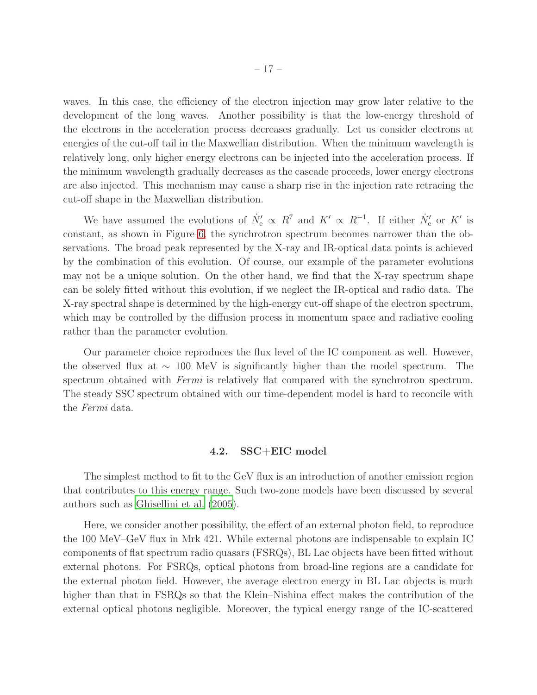waves. In this case, the efficiency of the electron injection may grow later relative to the development of the long waves. Another possibility is that the low-energy threshold of the electrons in the acceleration process decreases gradually. Let us consider electrons at energies of the cut-off tail in the Maxwellian distribution. When the minimum wavelength is relatively long, only higher energy electrons can be injected into the acceleration process. If the minimum wavelength gradually decreases as the cascade proceeds, lower energy electrons are also injected. This mechanism may cause a sharp rise in the injection rate retracing the cut-off shape in the Maxwellian distribution.

We have assumed the evolutions of  $\dot{N}'_e \propto R^7$  and  $K' \propto R^{-1}$ . If either  $\dot{N}'_e$  or  $K'$  is constant, as shown in Figure [6,](#page-13-0) the synchrotron spectrum becomes narrower than the observations. The broad peak represented by the X-ray and IR-optical data points is achieved by the combination of this evolution. Of course, our example of the parameter evolutions may not be a unique solution. On the other hand, we find that the X-ray spectrum shape can be solely fitted without this evolution, if we neglect the IR-optical and radio data. The X-ray spectral shape is determined by the high-energy cut-off shape of the electron spectrum, which may be controlled by the diffusion process in momentum space and radiative cooling rather than the parameter evolution.

Our parameter choice reproduces the flux level of the IC component as well. However, the observed flux at ∼ 100 MeV is significantly higher than the model spectrum. The spectrum obtained with *Fermi* is relatively flat compared with the synchrotron spectrum. The steady SSC spectrum obtained with our time-dependent model is hard to reconcile with the Fermi data.

### 4.2. SSC+EIC model

<span id="page-16-0"></span>The simplest method to fit to the GeV flux is an introduction of another emission region that contributes to this energy range. Such two-zone models have been discussed by several authors such as [Ghisellini et al. \(2005](#page-31-16)).

Here, we consider another possibility, the effect of an external photon field, to reproduce the 100 MeV–GeV flux in Mrk 421. While external photons are indispensable to explain IC components of flat spectrum radio quasars (FSRQs), BL Lac objects have been fitted without external photons. For FSRQs, optical photons from broad-line regions are a candidate for the external photon field. However, the average electron energy in BL Lac objects is much higher than that in FSRQs so that the Klein–Nishina effect makes the contribution of the external optical photons negligible. Moreover, the typical energy range of the IC-scattered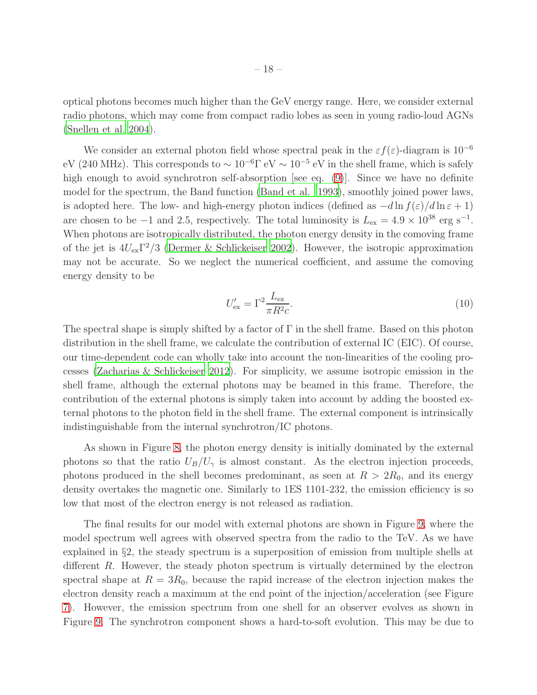optical photons becomes much higher than the GeV energy range. Here, we consider external radio photons, which may come from compact radio lobes as seen in young radio-loud AGNs [\(Snellen et al. 2004](#page-32-21)).

We consider an external photon field whose spectral peak in the  $\varepsilon f(\varepsilon)$ -diagram is 10<sup>-6</sup> eV (240 MHz). This corresponds to  $\sim 10^{-6} \Gamma eV \sim 10^{-5} eV$  in the shell frame, which is safely high enough to avoid synchrotron self-absorption [see eq. [\(9\)](#page-15-0)]. Since we have no definite model for the spectrum, the Band function [\(Band et al. 1993\)](#page-31-17), smoothly joined power laws, is adopted here. The low- and high-energy photon indices (defined as  $-d \ln f(\varepsilon)/d \ln \varepsilon + 1$ ) are chosen to be  $-1$  and 2.5, respectively. The total luminosity is  $L_{\text{ex}} = 4.9 \times 10^{38} \text{ erg s}^{-1}$ . When photons are isotropically distributed, the photon energy density in the comoving frame of the jet is  $4U_{\text{ex}}\Gamma^2/3$  [\(Dermer & Schlickeiser 2002](#page-31-18)). However, the isotropic approximation may not be accurate. So we neglect the numerical coefficient, and assume the comoving energy density to be

$$
U'_{\text{ex}} = \Gamma^2 \frac{L_{\text{ex}}}{\pi R^2 c}.
$$
\n(10)

The spectral shape is simply shifted by a factor of Γ in the shell frame. Based on this photon distribution in the shell frame, we calculate the contribution of external IC (EIC). Of course, our time-dependent code can wholly take into account the non-linearities of the cooling processes [\(Zacharias & Schlickeiser 2012\)](#page-33-4). For simplicity, we assume isotropic emission in the shell frame, although the external photons may be beamed in this frame. Therefore, the contribution of the external photons is simply taken into account by adding the boosted external photons to the photon field in the shell frame. The external component is intrinsically indistinguishable from the internal synchrotron/IC photons.

As shown in Figure [8,](#page-18-0) the photon energy density is initially dominated by the external photons so that the ratio  $U_B/U_\gamma$  is almost constant. As the electron injection proceeds, photons produced in the shell becomes predominant, as seen at  $R > 2R_0$ , and its energy density overtakes the magnetic one. Similarly to 1ES 1101-232, the emission efficiency is so low that most of the electron energy is not released as radiation.

The final results for our model with external photons are shown in Figure [9,](#page-19-0) where the model spectrum well agrees with observed spectra from the radio to the TeV. As we have explained in §2, the steady spectrum is a superposition of emission from multiple shells at different R. However, the steady photon spectrum is virtually determined by the electron spectral shape at  $R = 3R_0$ , because the rapid increase of the electron injection makes the electron density reach a maximum at the end point of the injection/acceleration (see Figure [7\)](#page-14-0). However, the emission spectrum from one shell for an observer evolves as shown in Figure [9.](#page-19-0) The synchrotron component shows a hard-to-soft evolution. This may be due to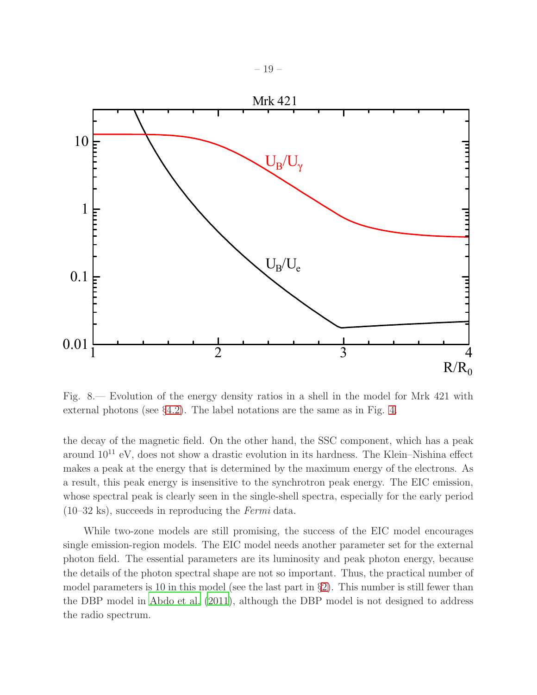

<span id="page-18-0"></span>Fig. 8.— Evolution of the energy density ratios in a shell in the model for Mrk 421 with external photons (see §[4.2\)](#page-16-0). The label notations are the same as in Fig. [4.](#page-10-0)

the decay of the magnetic field. On the other hand, the SSC component, which has a peak around  $10^{11}$  eV, does not show a drastic evolution in its hardness. The Klein–Nishina effect makes a peak at the energy that is determined by the maximum energy of the electrons. As a result, this peak energy is insensitive to the synchrotron peak energy. The EIC emission, whose spectral peak is clearly seen in the single-shell spectra, especially for the early period  $(10-32 \text{ ks})$ , succeeds in reproducing the *Fermi* data.

While two-zone models are still promising, the success of the EIC model encourages single emission-region models. The EIC model needs another parameter set for the external photon field. The essential parameters are its luminosity and peak photon energy, because the details of the photon spectral shape are not so important. Thus, the practical number of model parameters is 10 in this model (see the last part in  $\S2$ ). This number is still fewer than the DBP model in [Abdo et al. \(2011\)](#page-30-5), although the DBP model is not designed to address the radio spectrum.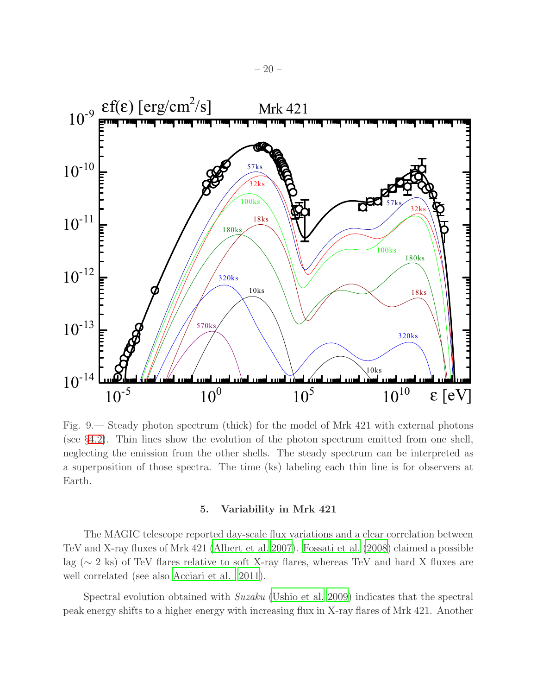

<span id="page-19-0"></span>Fig. 9.— Steady photon spectrum (thick) for the model of Mrk 421 with external photons (see §[4.2\)](#page-16-0). Thin lines show the evolution of the photon spectrum emitted from one shell, neglecting the emission from the other shells. The steady spectrum can be interpreted as a superposition of those spectra. The time (ks) labeling each thin line is for observers at Earth.

### 5. Variability in Mrk 421

The MAGIC telescope reported day-scale flux variations and a clear correlation between TeV and X-ray fluxes of Mrk 421 [\(Albert et al. 2007\)](#page-31-19). [Fossati et al.](#page-31-20) [\(2008\)](#page-31-20) claimed a possible lag (∼ 2 ks) of TeV flares relative to soft X-ray flares, whereas TeV and hard X fluxes are well correlated (see also [Acciari et al. 2011\)](#page-30-6).

Spectral evolution obtained with Suzaku [\(Ushio et al. 2009\)](#page-33-5) indicates that the spectral peak energy shifts to a higher energy with increasing flux in X-ray flares of Mrk 421. Another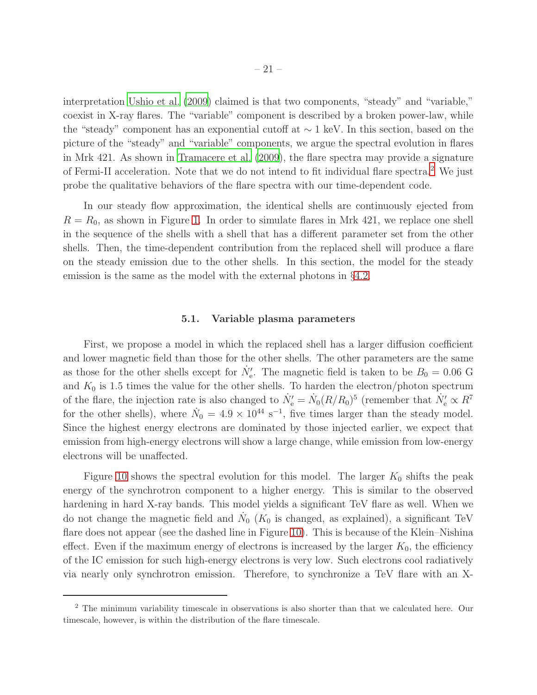interpretation [Ushio et al. \(2009\)](#page-33-5) claimed is that two components, "steady" and "variable," coexist in X-ray flares. The "variable" component is described by a broken power-law, while the "steady" component has an exponential cutoff at ∼ 1 keV. In this section, based on the picture of the "steady" and "variable" components, we argue the spectral evolution in flares in Mrk 421. As shown in [Tramacere et al. \(2009](#page-32-15)), the flare spectra may provide a signature of Fermi-II acceleration. Note that we do not intend to fit individual flare spectra.<sup>[2](#page-33-6)</sup> We just probe the qualitative behaviors of the flare spectra with our time-dependent code.

In our steady flow approximation, the identical shells are continuously ejected from  $R = R_0$ , as shown in Figure [1.](#page-3-0) In order to simulate flares in Mrk 421, we replace one shell in the sequence of the shells with a shell that has a different parameter set from the other shells. Then, the time-dependent contribution from the replaced shell will produce a flare on the steady emission due to the other shells. In this section, the model for the steady emission is the same as the model with the external photons in §[4.2.](#page-16-0)

### 5.1. Variable plasma parameters

<span id="page-20-0"></span>First, we propose a model in which the replaced shell has a larger diffusion coefficient and lower magnetic field than those for the other shells. The other parameters are the same as those for the other shells except for  $\dot{N}'_{e}$ . The magnetic field is taken to be  $B_0 = 0.06$  G and  $K_0$  is 1.5 times the value for the other shells. To harden the electron/photon spectrum of the flare, the injection rate is also changed to  $N'_e = N_0 (R/R_0)^5$  (remember that  $N'_e \propto R^7$ for the other shells), where  $\dot{N}_0 = 4.9 \times 10^{44} \text{ s}^{-1}$ , five times larger than the steady model. Since the highest energy electrons are dominated by those injected earlier, we expect that emission from high-energy electrons will show a large change, while emission from low-energy electrons will be unaffected.

Figure [10](#page-21-0) shows the spectral evolution for this model. The larger  $K_0$  shifts the peak energy of the synchrotron component to a higher energy. This is similar to the observed hardening in hard X-ray bands. This model yields a significant TeV flare as well. When we do not change the magnetic field and  $\dot{N}_0$  ( $K_0$  is changed, as explained), a significant TeV flare does not appear (see the dashed line in Figure [10\)](#page-21-0). This is because of the Klein–Nishina effect. Even if the maximum energy of electrons is increased by the larger  $K_0$ , the efficiency of the IC emission for such high-energy electrons is very low. Such electrons cool radiatively via nearly only synchrotron emission. Therefore, to synchronize a TeV flare with an X-

<sup>2</sup> The minimum variability timescale in observations is also shorter than that we calculated here. Our timescale, however, is within the distribution of the flare timescale.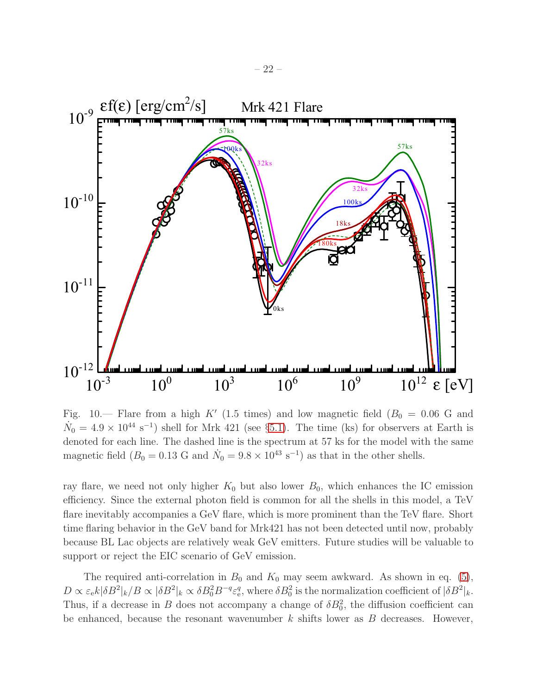

<span id="page-21-0"></span>Fig. 10.— Flare from a high K' (1.5 times) and low magnetic field  $(B_0 = 0.06 \text{ G and})$  $\dot{N}_0 = 4.9 \times 10^{44} \text{ s}^{-1}$ ) shell for Mrk 421 (see §[5.1\)](#page-20-0). The time (ks) for observers at Earth is denoted for each line. The dashed line is the spectrum at 57 ks for the model with the same magnetic field  $(B_0 = 0.13 \text{ G and } \dot{N}_0 = 9.8 \times 10^{43} \text{ s}^{-1})$  as that in the other shells.

ray flare, we need not only higher  $K_0$  but also lower  $B_0$ , which enhances the IC emission efficiency. Since the external photon field is common for all the shells in this model, a TeV flare inevitably accompanies a GeV flare, which is more prominent than the TeV flare. Short time flaring behavior in the GeV band for Mrk421 has not been detected until now, probably because BL Lac objects are relatively weak GeV emitters. Future studies will be valuable to support or reject the EIC scenario of GeV emission.

The required anti-correlation in  $B_0$  and  $K_0$  may seem awkward. As shown in eq. [\(5\)](#page-4-2),  $D \propto \varepsilon_{\rm e} k |\delta B^2|_k / B \propto |\delta B^2|_k \propto \delta B_0^2 B^{-q} \varepsilon_{\rm e}^q$ , where  $\delta B_0^2$  is the normalization coefficient of  $|\delta B^2|_k$ . Thus, if a decrease in B does not accompany a change of  $\delta B_0^2$ , the diffusion coefficient can be enhanced, because the resonant wavenumber  $k$  shifts lower as  $B$  decreases. However,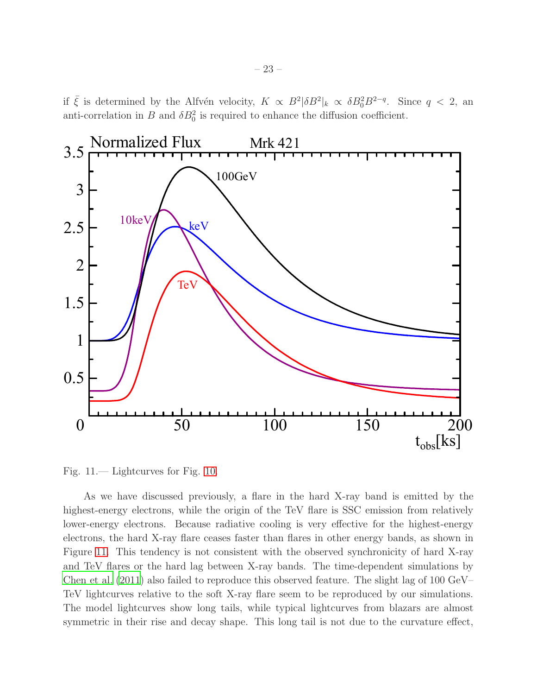if  $\bar{\xi}$  is determined by the Alfvén velocity,  $K \propto B^2 |\delta B^2|_k \propto \delta B_0^2 B^{2-q}$ . Since  $q < 2$ , an anti-correlation in B and  $\delta B_0^2$  is required to enhance the diffusion coefficient.



<span id="page-22-0"></span>Fig. 11.— Lightcurves for Fig. [10.](#page-21-0)

As we have discussed previously, a flare in the hard X-ray band is emitted by the highest-energy electrons, while the origin of the TeV flare is SSC emission from relatively lower-energy electrons. Because radiative cooling is very effective for the highest-energy electrons, the hard X-ray flare ceases faster than flares in other energy bands, as shown in Figure [11.](#page-22-0) This tendency is not consistent with the observed synchronicity of hard X-ray and TeV flares or the hard lag between X-ray bands. The time-dependent simulations by [Chen et al. \(2011\)](#page-31-12) also failed to reproduce this observed feature. The slight lag of 100 GeV– TeV lightcurves relative to the soft X-ray flare seem to be reproduced by our simulations. The model lightcurves show long tails, while typical lightcurves from blazars are almost symmetric in their rise and decay shape. This long tail is not due to the curvature effect,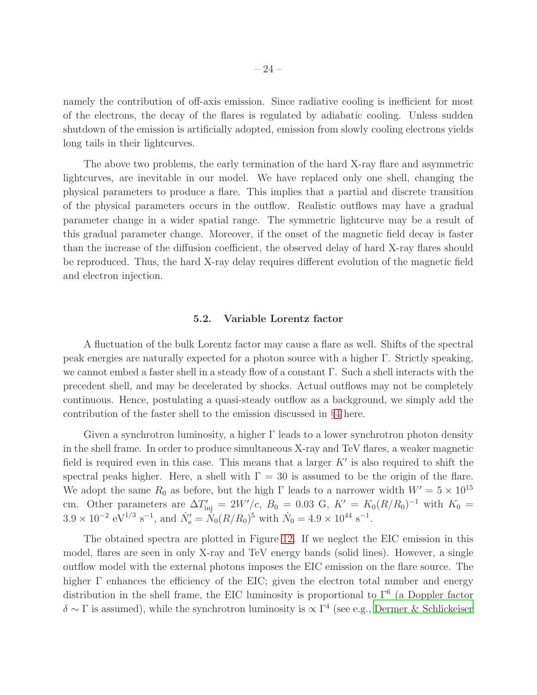namely the contribution of off-axis emission. Since radiative cooling is inefficient for most of the electrons, the decay of the flares is regulated by adiabatic cooling. Unless sudden shutdown of the emission is artificially adopted, emission from slowly cooling electrons yields long tails in their lightcurves.

The above two problems, the early termination of the hard X-ray flare and asymmetric lightcurves, are inevitable in our model. We have replaced only one shell, changing the physical parameters to produce a flare. This implies that a partial and discrete transition of the physical parameters occurs in the outflow. Realistic outflows may have a gradual parameter change in a wider spatial range. The symmetric lightcurve may be a result of this gradual parameter change. Moreover, if the onset of the magnetic field decay is faster than the increase of the diffusion coefficient, the observed delay of hard X-ray flares should be reproduced. Thus, the hard X-ray delay requires different evolution of the magnetic field and electron injection.

### 5.2. Variable Lorentz factor

<span id="page-23-0"></span>A fluctuation of the bulk Lorentz factor may cause a flare as well. Shifts of the spectral peak energies are naturally expected for a photon source with a higher Γ. Strictly speaking, we cannot embed a faster shell in a steady flow of a constant  $\Gamma$ . Such a shell interacts with the precedent shell, and may be decelerated by shocks. Actual outflows may not be completely continuous. Hence, postulating a quasi-steady outflow as a background, we simply add the contribution of the faster shell to the emission discussed in §[4](#page-11-0) here.

Given a synchrotron luminosity, a higher  $\Gamma$  leads to a lower synchrotron photon density in the shell frame. In order to produce simultaneous X-ray and TeV flares, a weaker magnetic field is required even in this case. This means that a larger  $K'$  is also required to shift the spectral peaks higher. Here, a shell with  $\Gamma = 30$  is assumed to be the origin of the flare. We adopt the same  $R_0$  as before, but the high Γ leads to a narrower width  $W' = 5 \times 10^{15}$ cm. Other parameters are  $\Delta T'_{\text{inj}} = 2W'/c$ ,  $B_0 = 0.03$  G,  $K' = K_0 (R/R_0)^{-1}$  with  $K_0 =$  $3.9 \times 10^{-2} \text{ eV}^{1/3} \text{ s}^{-1}$ , and  $\dot{N}'_e = \dot{N}_0 (R/R_0)^5$  with  $\dot{N}_0 = 4.9 \times 10^{44} \text{ s}^{-1}$ .

The obtained spectra are plotted in Figure [12.](#page-24-0) If we neglect the EIC emission in this model, flares are seen in only X-ray and TeV energy bands (solid lines). However, a single outflow model with the external photons imposes the EIC emission on the flare source. The higher  $\Gamma$  enhances the efficiency of the EIC; given the electron total number and energy distribution in the shell frame, the EIC luminosity is proportional to  $\Gamma^6$  (a Doppler factor  $\delta \sim \Gamma$  is assumed), while the synchrotron luminosity is  $\propto \Gamma^4$  (see e.g., [Dermer & Schlickeiser](#page-31-18)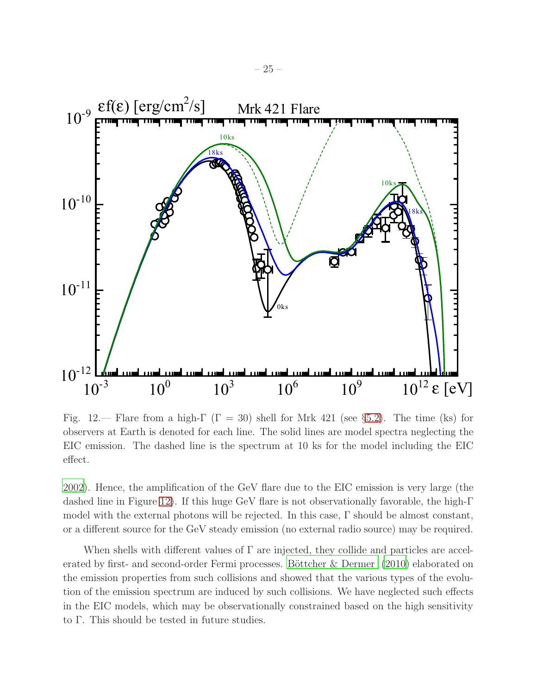

<span id="page-24-0"></span>Fig. 12.— Flare from a high- $\Gamma$  ( $\Gamma = 30$ ) shell for Mrk 421 (see §[5.2\)](#page-23-0). The time (ks) for observers at Earth is denoted for each line. The solid lines are model spectra neglecting the EIC emission. The dashed line is the spectrum at 10 ks for the model including the EIC effect.

[2002\)](#page-31-18). Hence, the amplification of the GeV flare due to the EIC emission is very large (the dashed line in Figure [12\)](#page-24-0). If this huge GeV flare is not observationally favorable, the high-Γ model with the external photons will be rejected. In this case, Γ should be almost constant, or a different source for the GeV steady emission (no external radio source) may be required.

When shells with different values of  $\Gamma$  are injected, they collide and particles are accelerated by first- and second-order Fermi processes. Böttcher  $&$  Dermer (2010) elaborated on the emission properties from such collisions and showed that the various types of the evolution of the emission spectrum are induced by such collisions. We have neglected such effects in the EIC models, which may be observationally constrained based on the high sensitivity to Γ. This should be tested in future studies.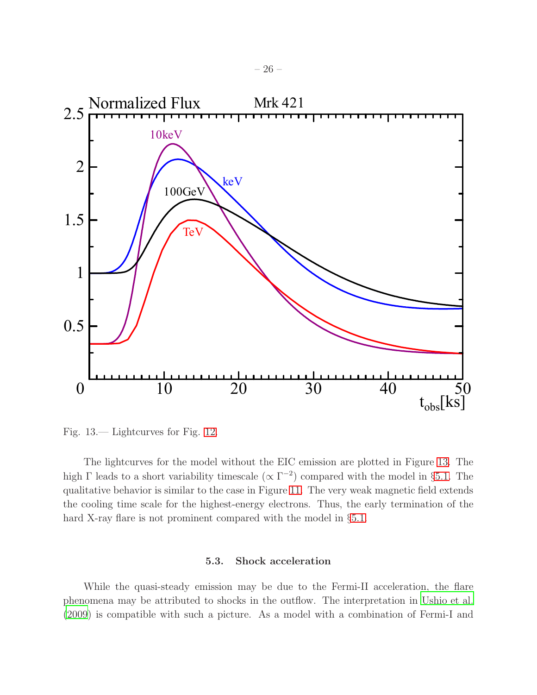

<span id="page-25-0"></span>Fig. 13.— Lightcurves for Fig. [12.](#page-24-0)

The lightcurves for the model without the EIC emission are plotted in Figure [13.](#page-25-0) The high  $\Gamma$  leads to a short variability timescale  $(\propto \Gamma^{-2})$  compared with the model in §[5.1.](#page-20-0) The qualitative behavior is similar to the case in Figure [11.](#page-22-0) The very weak magnetic field extends the cooling time scale for the highest-energy electrons. Thus, the early termination of the hard X-ray flare is not prominent compared with the model in §[5.1.](#page-20-0)

### 5.3. Shock acceleration

<span id="page-25-1"></span>While the quasi-steady emission may be due to the Fermi-II acceleration, the flare phenomena may be attributed to shocks in the outflow. The interpretation in [Ushio et al.](#page-33-5) [\(2009\)](#page-33-5) is compatible with such a picture. As a model with a combination of Fermi-I and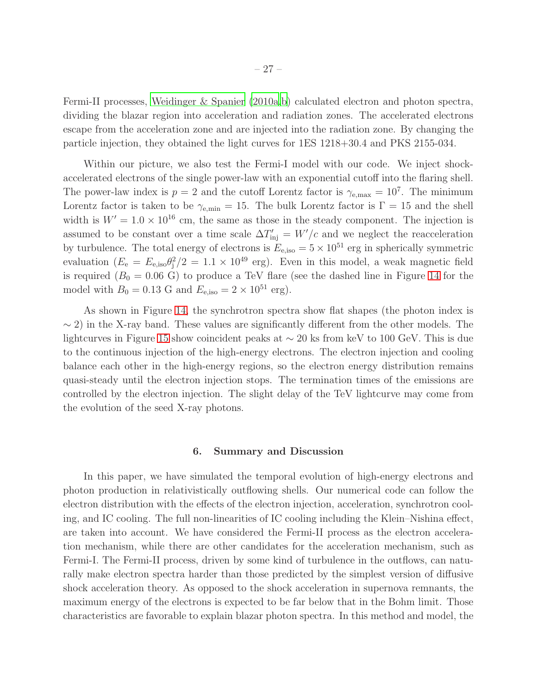Fermi-II processes, [Weidinger & Spanier \(2010a](#page-33-7)[,b](#page-33-8)) calculated electron and photon spectra, dividing the blazar region into acceleration and radiation zones. The accelerated electrons escape from the acceleration zone and are injected into the radiation zone. By changing the particle injection, they obtained the light curves for 1ES 1218+30.4 and PKS 2155-034.

Within our picture, we also test the Fermi-I model with our code. We inject shockaccelerated electrons of the single power-law with an exponential cutoff into the flaring shell. The power-law index is  $p = 2$  and the cutoff Lorentz factor is  $\gamma_{e,\text{max}} = 10^7$ . The minimum Lorentz factor is taken to be  $\gamma_{e,\text{min}} = 15$ . The bulk Lorentz factor is  $\Gamma = 15$  and the shell width is  $W' = 1.0 \times 10^{16}$  cm, the same as those in the steady component. The injection is assumed to be constant over a time scale  $\Delta T'_{\text{inj}} = W'/c$  and we neglect the reacceleration by turbulence. The total energy of electrons is  $E_{e,iso} = 5 \times 10^{51}$  erg in spherically symmetric evaluation  $(E_e = E_{e,iso} \theta_j^2/2 = 1.1 \times 10^{49} \text{ erg})$ . Even in this model, a weak magnetic field is required  $(B_0 = 0.06 \text{ G})$  to produce a TeV flare (see the dashed line in Figure [14](#page-27-0) for the model with  $B_0 = 0.13$  G and  $E_{e,iso} = 2 \times 10^{51}$  erg).

As shown in Figure [14,](#page-27-0) the synchrotron spectra show flat shapes (the photon index is  $\sim$  2) in the X-ray band. These values are significantly different from the other models. The lightcurves in Figure [15](#page-28-0) show coincident peaks at ∼ 20 ks from keV to 100 GeV. This is due to the continuous injection of the high-energy electrons. The electron injection and cooling balance each other in the high-energy regions, so the electron energy distribution remains quasi-steady until the electron injection stops. The termination times of the emissions are controlled by the electron injection. The slight delay of the TeV lightcurve may come from the evolution of the seed X-ray photons.

### 6. Summary and Discussion

In this paper, we have simulated the temporal evolution of high-energy electrons and photon production in relativistically outflowing shells. Our numerical code can follow the electron distribution with the effects of the electron injection, acceleration, synchrotron cooling, and IC cooling. The full non-linearities of IC cooling including the Klein–Nishina effect, are taken into account. We have considered the Fermi-II process as the electron acceleration mechanism, while there are other candidates for the acceleration mechanism, such as Fermi-I. The Fermi-II process, driven by some kind of turbulence in the outflows, can naturally make electron spectra harder than those predicted by the simplest version of diffusive shock acceleration theory. As opposed to the shock acceleration in supernova remnants, the maximum energy of the electrons is expected to be far below that in the Bohm limit. Those characteristics are favorable to explain blazar photon spectra. In this method and model, the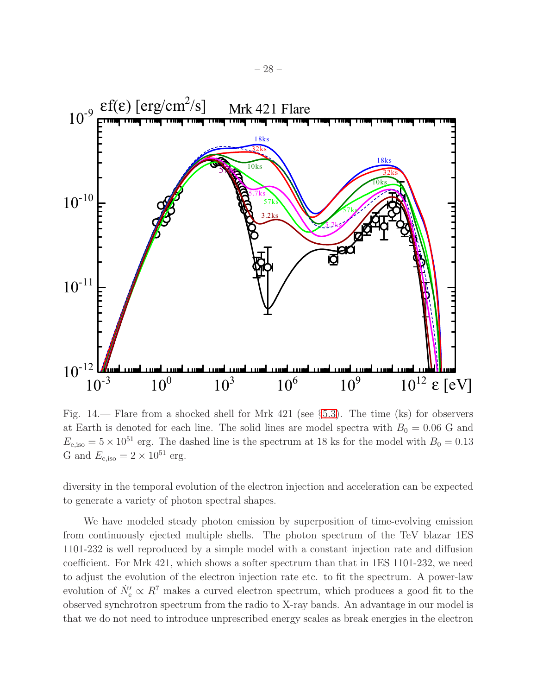

<span id="page-27-0"></span>Fig. 14.— Flare from a shocked shell for Mrk 421 (see §[5.3\)](#page-25-1). The time (ks) for observers at Earth is denoted for each line. The solid lines are model spectra with  $B_0 = 0.06$  G and  $E_{\text{e,iso}} = 5 \times 10^{51}$  erg. The dashed line is the spectrum at 18 ks for the model with  $B_0 = 0.13$ G and  $E_{\text{e,iso}} = 2 \times 10^{51}$  erg.

diversity in the temporal evolution of the electron injection and acceleration can be expected to generate a variety of photon spectral shapes.

We have modeled steady photon emission by superposition of time-evolving emission from continuously ejected multiple shells. The photon spectrum of the TeV blazar 1ES 1101-232 is well reproduced by a simple model with a constant injection rate and diffusion coefficient. For Mrk 421, which shows a softer spectrum than that in 1ES 1101-232, we need to adjust the evolution of the electron injection rate etc. to fit the spectrum. A power-law evolution of  $\dot{N}'_{e} \propto R^7$  makes a curved electron spectrum, which produces a good fit to the observed synchrotron spectrum from the radio to X-ray bands. An advantage in our model is that we do not need to introduce unprescribed energy scales as break energies in the electron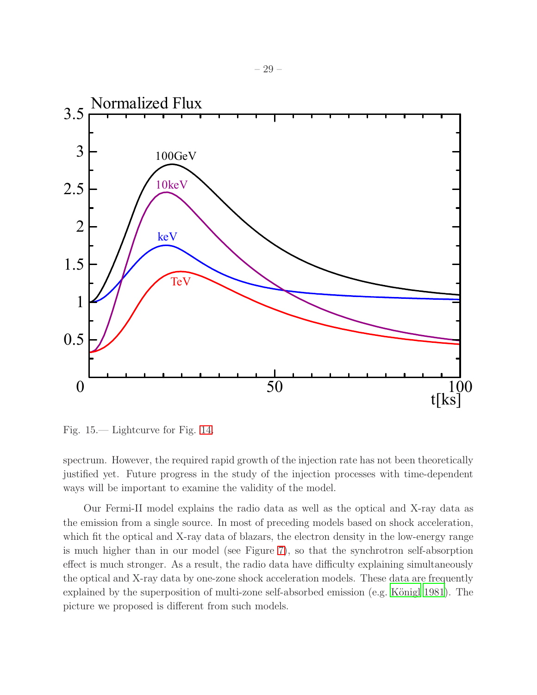

<span id="page-28-0"></span>Fig. 15.— Lightcurve for Fig. [14.](#page-27-0)

spectrum. However, the required rapid growth of the injection rate has not been theoretically justified yet. Future progress in the study of the injection processes with time-dependent ways will be important to examine the validity of the model.

Our Fermi-II model explains the radio data as well as the optical and X-ray data as the emission from a single source. In most of preceding models based on shock acceleration, which fit the optical and X-ray data of blazars, the electron density in the low-energy range is much higher than in our model (see Figure [7\)](#page-14-0), so that the synchrotron self-absorption effect is much stronger. As a result, the radio data have difficulty explaining simultaneously the optical and X-ray data by one-zone shock acceleration models. These data are frequently explained by the superposition of multi-zone self-absorbed emission (e.g. Königl 1981). The picture we proposed is different from such models.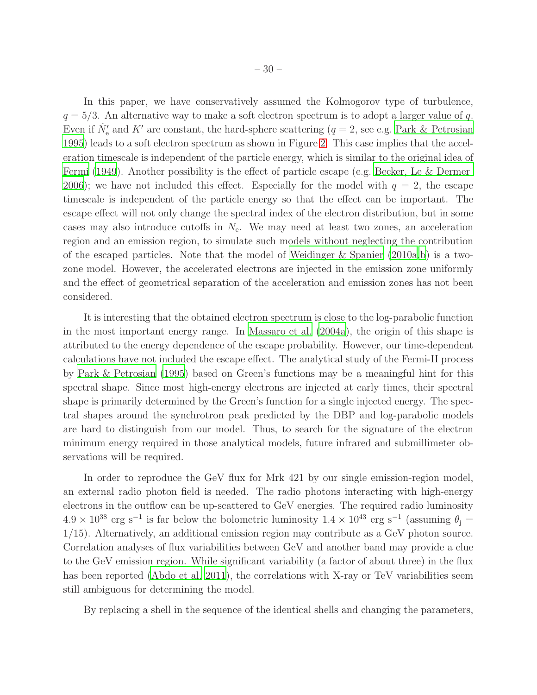In this paper, we have conservatively assumed the Kolmogorov type of turbulence,  $q = 5/3$ . An alternative way to make a soft electron spectrum is to adopt a larger value of q. Even if  $\dot{N}'_e$  and K' are constant, the hard-sphere scattering  $(q=2, \text{see e.g. Park} \& \text{Petrosian})$ [1995\)](#page-32-5) leads to a soft electron spectrum as shown in Figure [2.](#page-6-0) This case implies that the acceleration timescale is independent of the particle energy, which is similar to the original idea of [Fermi \(1949](#page-31-22)). Another possibility is the effect of particle escape (e.g. [Becker, Le & Dermer](#page-31-4) [2006\)](#page-31-4); we have not included this effect. Especially for the model with  $q = 2$ , the escape timescale is independent of the particle energy so that the effect can be important. The escape effect will not only change the spectral index of the electron distribution, but in some cases may also introduce cutoffs in  $N_e$ . We may need at least two zones, an acceleration region and an emission region, to simulate such models without neglecting the contribution of the escaped particles. Note that the model of [Weidinger & Spanier \(2010a](#page-33-7)[,b\)](#page-33-8) is a twozone model. However, the accelerated electrons are injected in the emission zone uniformly and the effect of geometrical separation of the acceleration and emission zones has not been considered.

It is interesting that the obtained electron spectrum is close to the log-parabolic function in the most important energy range. In [Massaro et al. \(2004a](#page-32-13)), the origin of this shape is attributed to the energy dependence of the escape probability. However, our time-dependent calculations have not included the escape effect. The analytical study of the Fermi-II process by [Park & Petrosian \(1995\)](#page-32-5) based on Green's functions may be a meaningful hint for this spectral shape. Since most high-energy electrons are injected at early times, their spectral shape is primarily determined by the Green's function for a single injected energy. The spectral shapes around the synchrotron peak predicted by the DBP and log-parabolic models are hard to distinguish from our model. Thus, to search for the signature of the electron minimum energy required in those analytical models, future infrared and submillimeter observations will be required.

In order to reproduce the GeV flux for Mrk 421 by our single emission-region model, an external radio photon field is needed. The radio photons interacting with high-energy electrons in the outflow can be up-scattered to GeV energies. The required radio luminosity  $4.9 \times 10^{38}$  erg s<sup>-1</sup> is far below the bolometric luminosity  $1.4 \times 10^{43}$  erg s<sup>-1</sup> (assuming  $\theta_{\rm j}$  = 1/15). Alternatively, an additional emission region may contribute as a GeV photon source. Correlation analyses of flux variabilities between GeV and another band may provide a clue to the GeV emission region. While significant variability (a factor of about three) in the flux has been reported [\(Abdo et al. 2011\)](#page-30-5), the correlations with X-ray or TeV variabilities seem still ambiguous for determining the model.

By replacing a shell in the sequence of the identical shells and changing the parameters,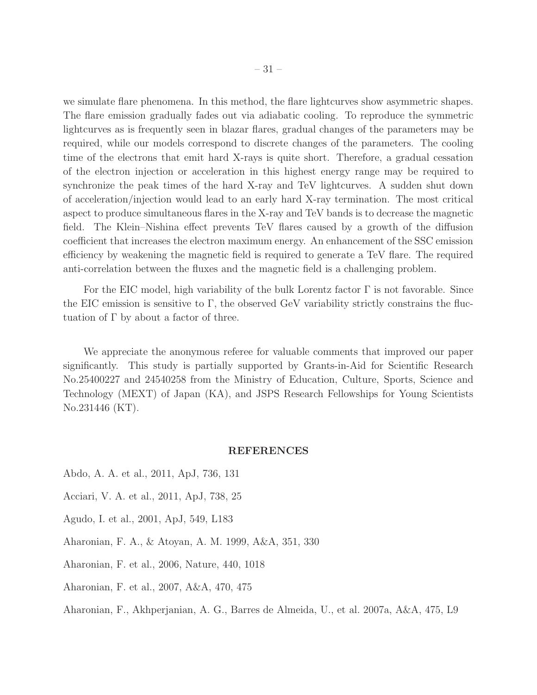we simulate flare phenomena. In this method, the flare lightcurves show asymmetric shapes. The flare emission gradually fades out via adiabatic cooling. To reproduce the symmetric lightcurves as is frequently seen in blazar flares, gradual changes of the parameters may be required, while our models correspond to discrete changes of the parameters. The cooling time of the electrons that emit hard X-rays is quite short. Therefore, a gradual cessation of the electron injection or acceleration in this highest energy range may be required to synchronize the peak times of the hard X-ray and TeV lightcurves. A sudden shut down of acceleration/injection would lead to an early hard X-ray termination. The most critical aspect to produce simultaneous flares in the X-ray and TeV bands is to decrease the magnetic field. The Klein–Nishina effect prevents TeV flares caused by a growth of the diffusion coefficient that increases the electron maximum energy. An enhancement of the SSC emission efficiency by weakening the magnetic field is required to generate a TeV flare. The required anti-correlation between the fluxes and the magnetic field is a challenging problem.

For the EIC model, high variability of the bulk Lorentz factor  $\Gamma$  is not favorable. Since the EIC emission is sensitive to  $\Gamma$ , the observed GeV variability strictly constrains the fluctuation of  $\Gamma$  by about a factor of three.

We appreciate the anonymous referee for valuable comments that improved our paper significantly. This study is partially supported by Grants-in-Aid for Scientific Research No.25400227 and 24540258 from the Ministry of Education, Culture, Sports, Science and Technology (MEXT) of Japan (KA), and JSPS Research Fellowships for Young Scientists No.231446 (KT).

### REFERENCES

- <span id="page-30-5"></span>Abdo, A. A. et al., 2011, ApJ, 736, 131
- <span id="page-30-6"></span>Acciari, V. A. et al., 2011, ApJ, 738, 25
- <span id="page-30-4"></span>Agudo, I. et al., 2001, ApJ, 549, L183
- <span id="page-30-0"></span>Aharonian, F. A., & Atoyan, A. M. 1999, A&A, 351, 330
- <span id="page-30-1"></span>Aharonian, F. et al., 2006, Nature, 440, 1018
- <span id="page-30-3"></span>Aharonian, F. et al., 2007, A&A, 470, 475

<span id="page-30-2"></span>Aharonian, F., Akhperjanian, A. G., Barres de Almeida, U., et al. 2007a, A&A, 475, L9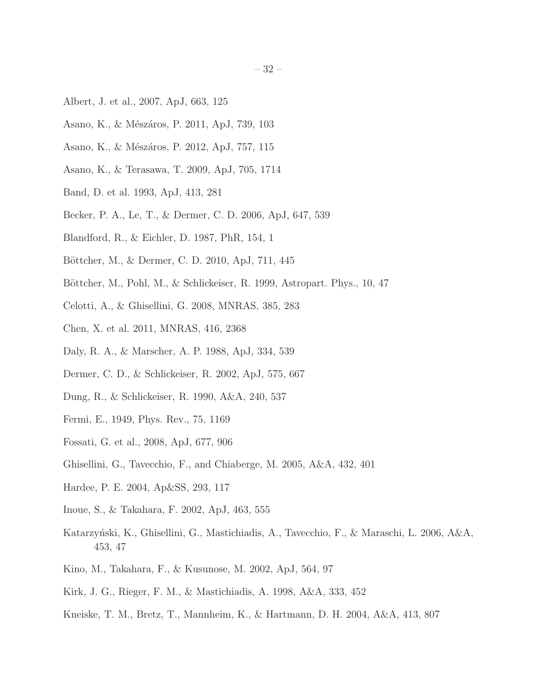- <span id="page-31-19"></span>Albert, J. et al., 2007, ApJ, 663, 125
- <span id="page-31-10"></span>Asano, K., & Mészáros, P. 2011, ApJ, 739, 103
- <span id="page-31-11"></span>Asano, K., & Mészáros, P. 2012, ApJ, 757, 115
- <span id="page-31-9"></span>Asano, K., & Terasawa, T. 2009, ApJ, 705, 1714
- <span id="page-31-17"></span>Band, D. et al. 1993, ApJ, 413, 281
- <span id="page-31-4"></span>Becker, P. A., Le, T., & Dermer, C. D. 2006, ApJ, 647, 539
- <span id="page-31-13"></span>Blandford, R., & Eichler, D. 1987, PhR, 154, 1
- <span id="page-31-21"></span>Böttcher, M., & Dermer, C. D. 2010, ApJ, 711, 445
- <span id="page-31-5"></span>Böttcher, M., Pohl, M., & Schlickeiser, R. 1999, Astropart. Phys., 10, 47
- <span id="page-31-1"></span>Celotti, A., & Ghisellini, G. 2008, MNRAS, 385, 283
- <span id="page-31-12"></span>Chen, X. et al. 2011, MNRAS, 416, 2368
- <span id="page-31-8"></span>Daly, R. A., & Marscher, A. P. 1988, ApJ, 334, 539
- <span id="page-31-18"></span>Dermer, C. D., & Schlickeiser, R. 2002, ApJ, 575, 667
- <span id="page-31-14"></span>Dung, R., & Schlickeiser, R. 1990, A&A, 240, 537
- <span id="page-31-22"></span>Fermi, E., 1949, Phys. Rev., 75, 1169
- <span id="page-31-20"></span>Fossati, G. et al., 2008, ApJ, 677, 906
- <span id="page-31-16"></span>Ghisellini, G., Tavecchio, F., and Chiaberge, M. 2005, A&A, 432, 401
- <span id="page-31-7"></span>Hardee, P. E. 2004, Ap&SS, 293, 117
- <span id="page-31-3"></span>Inoue, S., & Takahara, F. 2002, ApJ, 463, 555
- <span id="page-31-6"></span>Katarzyński, K., Ghisellini, G., Mastichiadis, A., Tavecchio, F., & Maraschi, L. 2006, A&A, 453, 47
- <span id="page-31-0"></span>Kino, M., Takahara, F., & Kusunose, M. 2002, ApJ, 564, 97
- <span id="page-31-2"></span>Kirk, J. G., Rieger, F. M., & Mastichiadis, A. 1998, A&A, 333, 452
- <span id="page-31-15"></span>Kneiske, T. M., Bretz, T., Mannheim, K., & Hartmann, D. H. 2004, A&A, 413, 807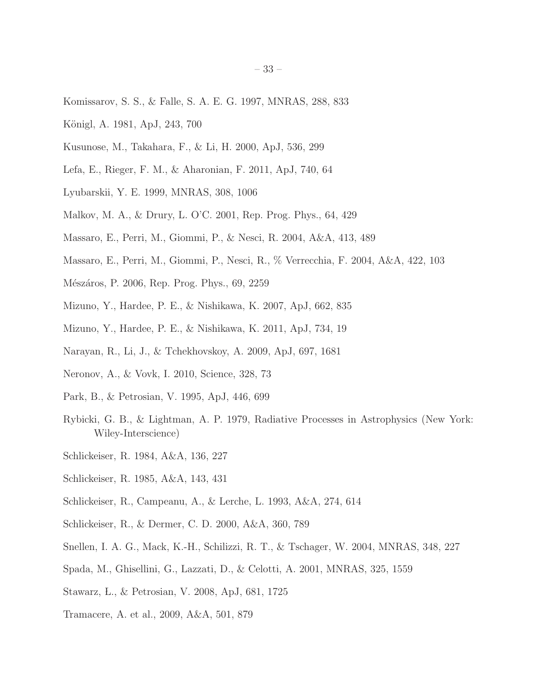- <span id="page-32-12"></span>Komissarov, S. S., & Falle, S. A. E. G. 1997, MNRAS, 288, 833
- <span id="page-32-19"></span>Königl, A. 1981, ApJ, 243, 700
- <span id="page-32-17"></span>Kusunose, M., Takahara, F., & Li, H. 2000, ApJ, 536, 299
- <span id="page-32-16"></span>Lefa, E., Rieger, F. M., & Aharonian, F. 2011, ApJ, 740, 64
- <span id="page-32-9"></span>Lyubarskii, Y. E. 1999, MNRAS, 308, 1006
- <span id="page-32-3"></span>Malkov, M. A., & Drury, L. O'C. 2001, Rep. Prog. Phys., 64, 429
- <span id="page-32-13"></span>Massaro, E., Perri, M., Giommi, P., & Nesci, R. 2004, A&A, 413, 489
- <span id="page-32-14"></span>Massaro, E., Perri, M., Giommi, P., Nesci, R., % Verrecchia, F. 2004, A&A, 422, 103
- <span id="page-32-1"></span>Mészáros, P. 2006, Rep. Prog. Phys., 69, 2259
- <span id="page-32-8"></span>Mizuno, Y., Hardee, P. E., & Nishikawa, K. 2007, ApJ, 662, 835
- <span id="page-32-11"></span>Mizuno, Y., Hardee, P. E., & Nishikawa, K. 2011, ApJ, 734, 19
- <span id="page-32-10"></span>Narayan, R., Li, J., & Tchekhovskoy, A. 2009, ApJ, 697, 1681
- <span id="page-32-2"></span>Neronov, A., & Vovk, I. 2010, Science, 328, 73
- <span id="page-32-5"></span>Park, B., & Petrosian, V. 1995, ApJ, 446, 699
- <span id="page-32-20"></span>Rybicki, G. B., & Lightman, A. P. 1979, Radiative Processes in Astrophysics (New York: Wiley-Interscience)
- <span id="page-32-4"></span>Schlickeiser, R. 1984, A&A, 136, 227
- <span id="page-32-18"></span>Schlickeiser, R. 1985, A&A, 143, 431
- Schlickeiser, R., Campeanu, A., & Lerche, L. 1993, A&A, 274, 614
- <span id="page-32-7"></span>Schlickeiser, R., & Dermer, C. D. 2000, A&A, 360, 789
- <span id="page-32-21"></span>Snellen, I. A. G., Mack, K.-H., Schilizzi, R. T., & Tschager, W. 2004, MNRAS, 348, 227
- <span id="page-32-0"></span>Spada, M., Ghisellini, G., Lazzati, D., & Celotti, A. 2001, MNRAS, 325, 1559
- <span id="page-32-6"></span>Stawarz, L., & Petrosian, V. 2008, ApJ, 681, 1725
- <span id="page-32-15"></span>Tramacere, A. et al., 2009, A&A, 501, 879